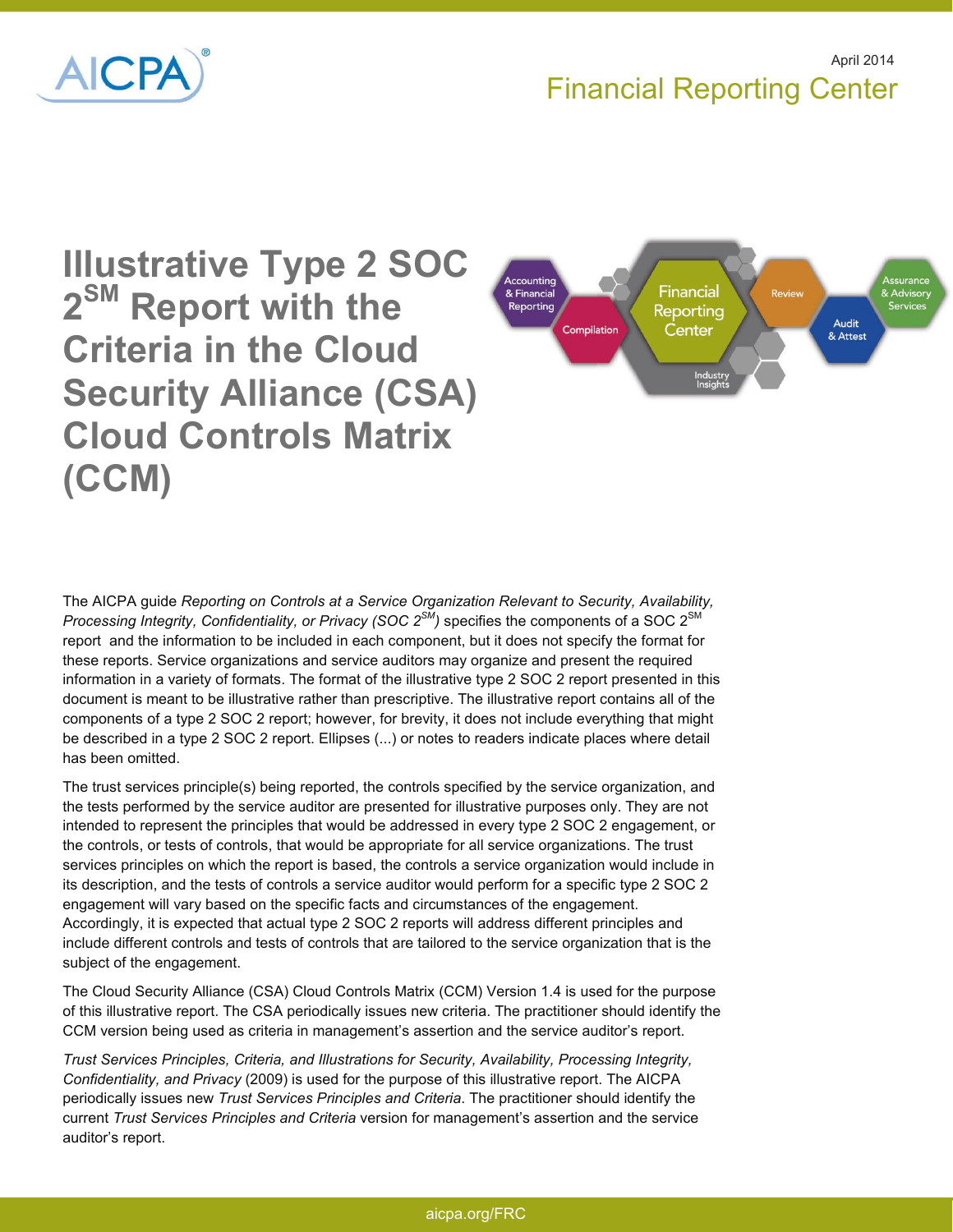



**Illustrative Type 2 SOC 2 SM Report with the Criteria in the Cloud Security Alliance (CSA) Cloud Controls Matrix (CCM)** 



The AICPA guide *Reporting on Controls at a Service Organization Relevant to Security, Availability, Processing Integrity, Confidentiality, or Privacy (SOC 2SM)* specifies the components of a SOC 2SM report and the information to be included in each component, but it does not specify the format for these reports. Service organizations and service auditors may organize and present the required information in a variety of formats. The format of the illustrative type 2 SOC 2 report presented in this document is meant to be illustrative rather than prescriptive. The illustrative report contains all of the components of a type 2 SOC 2 report; however, for brevity, it does not include everything that might be described in a type 2 SOC 2 report. Ellipses (...) or notes to readers indicate places where detail has been omitted.

The trust services principle(s) being reported, the controls specified by the service organization, and the tests performed by the service auditor are presented for illustrative purposes only. They are not intended to represent the principles that would be addressed in every type 2 SOC 2 engagement, or the controls, or tests of controls, that would be appropriate for all service organizations. The trust services principles on which the report is based, the controls a service organization would include in its description, and the tests of controls a service auditor would perform for a specific type 2 SOC 2 engagement will vary based on the specific facts and circumstances of the engagement. Accordingly, it is expected that actual type 2 SOC 2 reports will address different principles and include different controls and tests of controls that are tailored to the service organization that is the subject of the engagement.

The Cloud Security Alliance (CSA) Cloud Controls Matrix (CCM) Version 1.4 is used for the purpose of this illustrative report. The CSA periodically issues new criteria. The practitioner should identify the CCM version being used as criteria in management's assertion and the service auditor's report.

*Trust Services Principles, Criteria, and Illustrations for Security, Availability, Processing Integrity, Confidentiality, and Privacy* (2009) is used for the purpose of this illustrative report. The AICPA periodically issues new *Trust Services Principles and Criteria*. The practitioner should identify the current *Trust Services Principles and Criteria* version for management's assertion and the service auditor's report.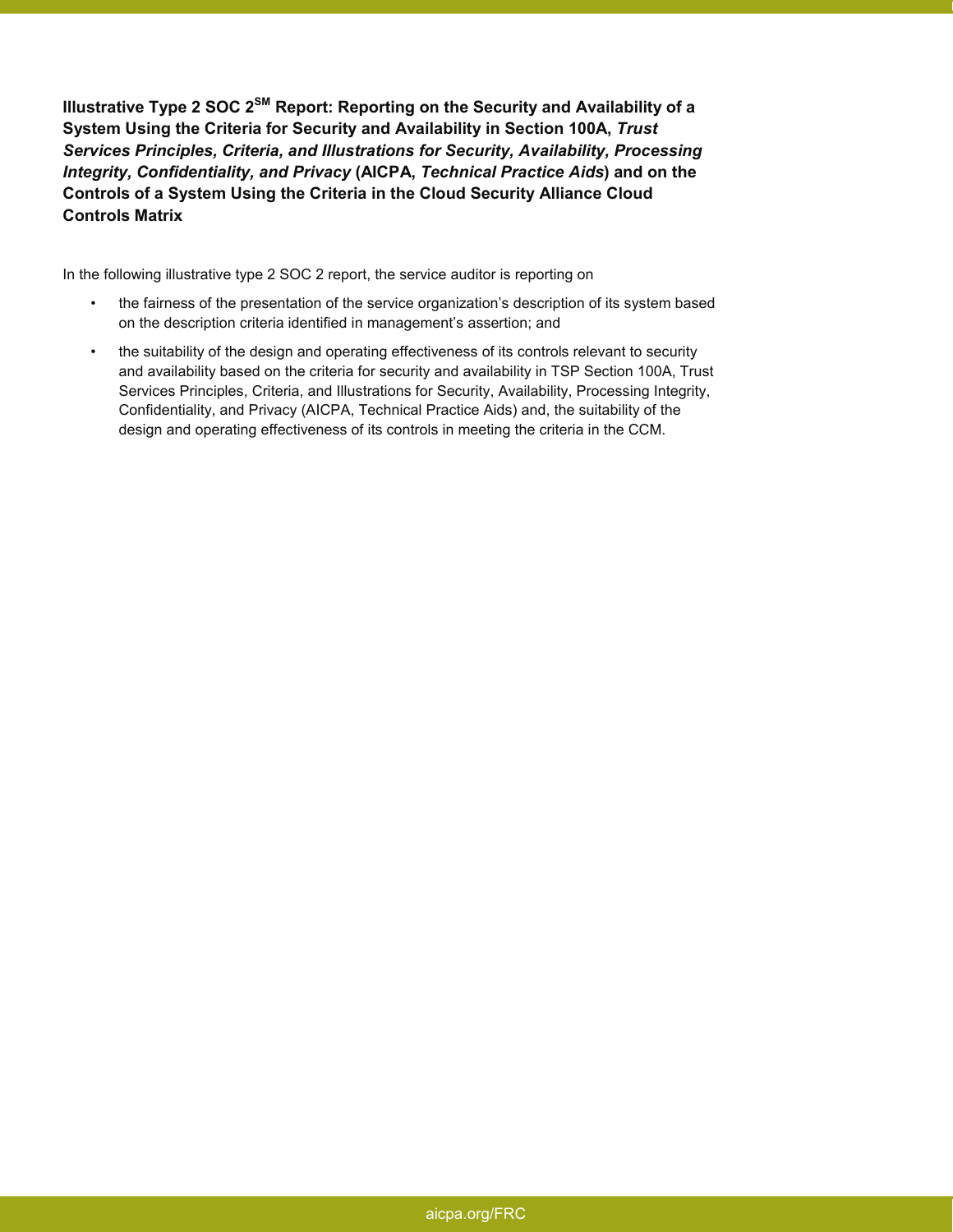**Illustrative Type 2 SOC 2SM Report: Reporting on the Security and Availability of a System Using the Criteria for Security and Availability in Section 100A,** *Trust Services Principles, Criteria, and Illustrations for Security, Availability, Processing Integrity, Confidentiality, and Privacy* **(AICPA,** *Technical Practice Aids***) and on the Controls of a System Using the Criteria in the Cloud Security Alliance Cloud Controls Matrix** 

In the following illustrative type 2 SOC 2 report, the service auditor is reporting on

- the fairness of the presentation of the service organization's description of its system based on the description criteria identified in management's assertion; and
- the suitability of the design and operating effectiveness of its controls relevant to security and availability based on the criteria for security and availability in TSP Section 100A, Trust Services Principles, Criteria, and Illustrations for Security, Availability, Processing Integrity, Confidentiality, and Privacy (AICPA, Technical Practice Aids) and, the suitability of the design and operating effectiveness of its controls in meeting the criteria in the CCM.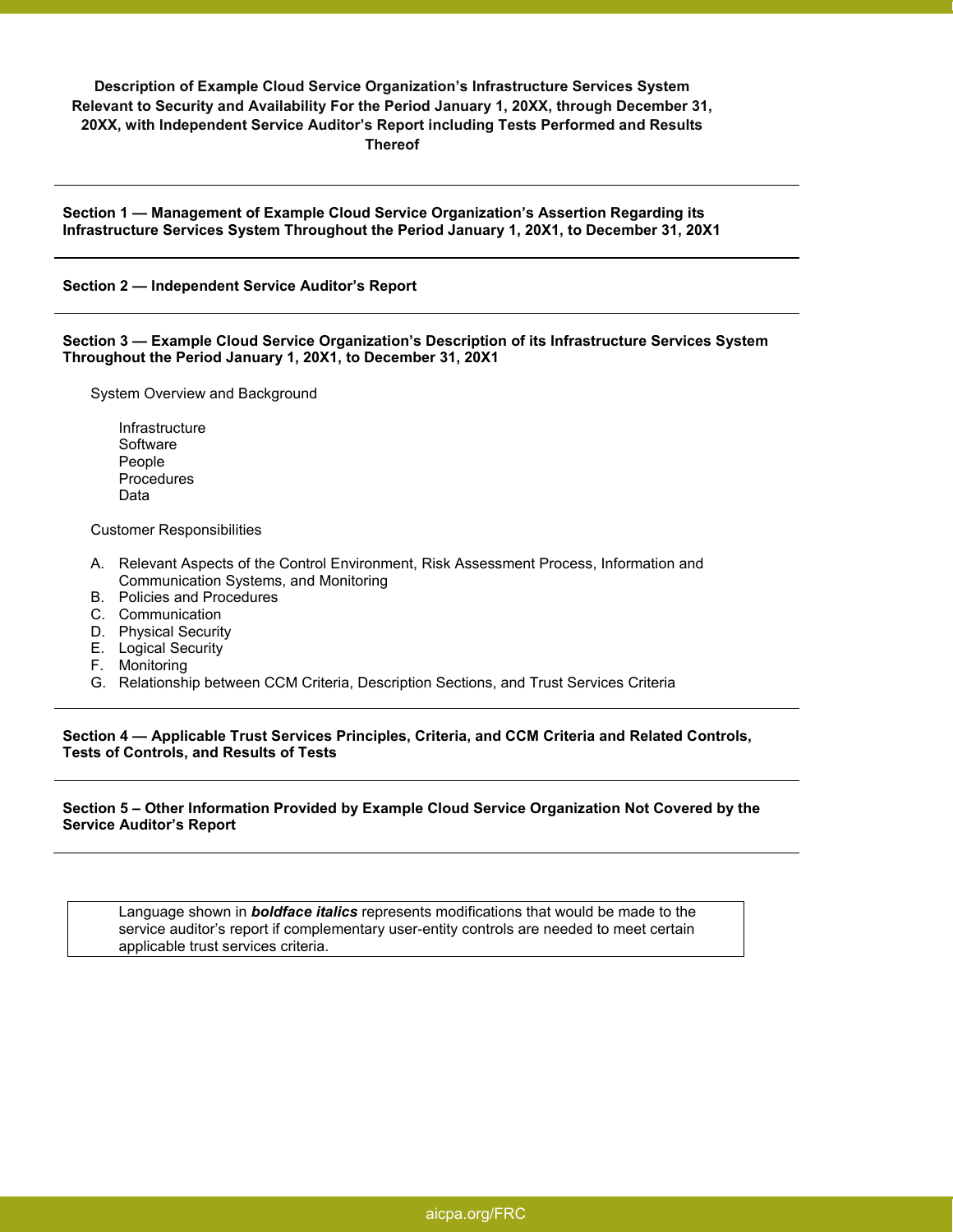# **Description of Example Cloud Service Organization's Infrastructure Services System Relevant to Security and Availability For the Period January 1, 20XX, through December 31, 20XX, with Independent Service Auditor's Report including Tests Performed and Results Thereof**

**Section 1 — Management of Example Cloud Service Organization's Assertion Regarding its Infrastructure Services System Throughout the Period January 1, 20X1, to December 31, 20X1** 

#### **Section 2 — Independent Service Auditor's Report**

**Section 3 — Example Cloud Service Organization's Description of its Infrastructure Services System Throughout the Period January 1, 20X1, to December 31, 20X1** 

System Overview and Background

Infrastructure Software People Procedures Data

Customer Responsibilities

- A. Relevant Aspects of the Control Environment, Risk Assessment Process, Information and Communication Systems, and Monitoring
- B. Policies and Procedures
- C. Communication
- D. Physical Security
- E. Logical Security
- F. Monitoring
- G. Relationship between CCM Criteria, Description Sections, and Trust Services Criteria

**Section 4 — Applicable Trust Services Principles, Criteria, and CCM Criteria and Related Controls, Tests of Controls, and Results of Tests** 

## **Section 5 – Other Information Provided by Example Cloud Service Organization Not Covered by the Service Auditor's Report**

Language shown in *boldface italics* represents modifications that would be made to the service auditor's report if complementary user-entity controls are needed to meet certain applicable trust services criteria.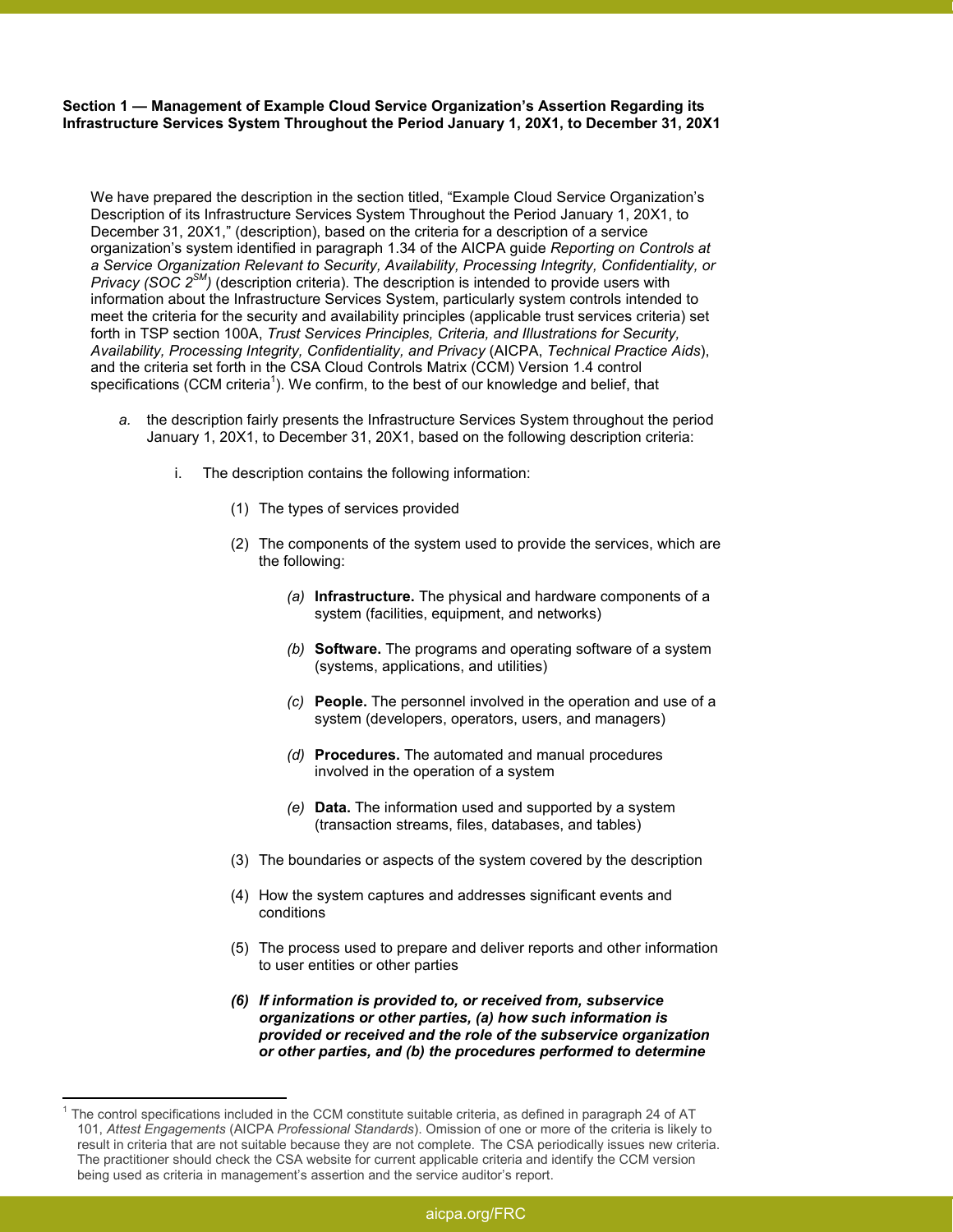**Section 1 — Management of Example Cloud Service Organization's Assertion Regarding its Infrastructure Services System Throughout the Period January 1, 20X1, to December 31, 20X1** 

We have prepared the description in the section titled, "Example Cloud Service Organization's Description of its Infrastructure Services System Throughout the Period January 1, 20X1, to December 31, 20X1," (description), based on the criteria for a description of a service organization's system identified in paragraph 1.34 of the AICPA guide *Reporting on Controls at a Service Organization Relevant to Security, Availability, Processing Integrity, Confidentiality, or Privacy (SOC 2SM)* (description criteria). The description is intended to provide users with information about the Infrastructure Services System, particularly system controls intended to meet the criteria for the security and availability principles (applicable trust services criteria) set forth in TSP section 100A, *Trust Services Principles, Criteria, and Illustrations for Security, Availability, Processing Integrity, Confidentiality, and Privacy* (AICPA, *Technical Practice Aids*), and the criteria set forth in the CSA Cloud Controls Matrix (CCM) Version 1.4 control specifications (CCM criteria<sup>1</sup>). We confirm, to the best of our knowledge and belief, that

- *a.* the description fairly presents the Infrastructure Services System throughout the period January 1, 20X1, to December 31, 20X1, based on the following description criteria:
	- i. The description contains the following information:
		- (1) The types of services provided
		- (2) The components of the system used to provide the services, which are the following:
			- *(a)* **Infrastructure.** The physical and hardware components of a system (facilities, equipment, and networks)
			- *(b)* **Software.** The programs and operating software of a system (systems, applications, and utilities)
			- *(c)* **People.** The personnel involved in the operation and use of a system (developers, operators, users, and managers)
			- *(d)* **Procedures.** The automated and manual procedures involved in the operation of a system
			- *(e)* **Data.** The information used and supported by a system (transaction streams, files, databases, and tables)
		- (3) The boundaries or aspects of the system covered by the description
		- (4) How the system captures and addresses significant events and conditions
		- (5) The process used to prepare and deliver reports and other information to user entities or other parties
		- *(6) If information is provided to, or received from, subservice organizations or other parties, (a) how such information is provided or received and the role of the subservice organization or other parties, and (b) the procedures performed to determine*

 $\overline{a}$ 

<sup>1</sup> The control specifications included in the CCM constitute suitable criteria, as defined in paragraph 24 of AT 101, *Attest Engagements* (AICPA *Professional Standards*). Omission of one or more of the criteria is likely to result in criteria that are not suitable because they are not complete. The CSA periodically issues new criteria. The practitioner should check the CSA website for current applicable criteria and identify the CCM version being used as criteria in management's assertion and the service auditor's report.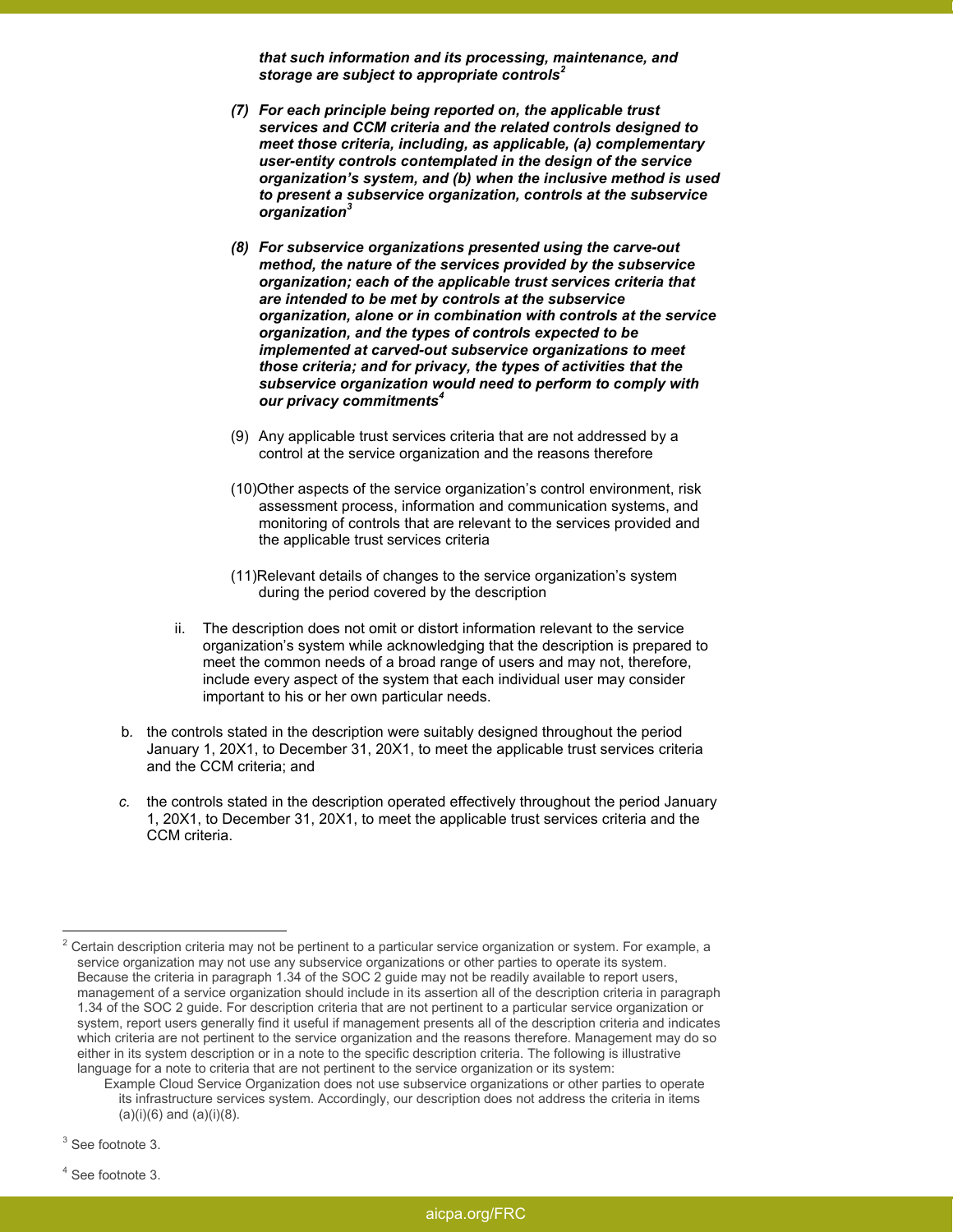*that such information and its processing, maintenance, and storage are subject to appropriate controls<sup>2</sup>*

- *(7) For each principle being reported on, the applicable trust services and CCM criteria and the related controls designed to meet those criteria, including, as applicable, (a) complementary user-entity controls contemplated in the design of the service organization's system, and (b) when the inclusive method is used to present a subservice organization, controls at the subservice organization<sup>3</sup>*
- *(8) For subservice organizations presented using the carve-out method, the nature of the services provided by the subservice organization; each of the applicable trust services criteria that are intended to be met by controls at the subservice organization, alone or in combination with controls at the service organization, and the types of controls expected to be implemented at carved-out subservice organizations to meet those criteria; and for privacy, the types of activities that the subservice organization would need to perform to comply with our privacy commitments<sup>4</sup>*
- (9) Any applicable trust services criteria that are not addressed by a control at the service organization and the reasons therefore
- (10)Other aspects of the service organization's control environment, risk assessment process, information and communication systems, and monitoring of controls that are relevant to the services provided and the applicable trust services criteria
- (11)Relevant details of changes to the service organization's system during the period covered by the description
- ii. The description does not omit or distort information relevant to the service organization's system while acknowledging that the description is prepared to meet the common needs of a broad range of users and may not, therefore, include every aspect of the system that each individual user may consider important to his or her own particular needs.
- b*.* the controls stated in the description were suitably designed throughout the period January 1, 20X1, to December 31, 20X1, to meet the applicable trust services criteria and the CCM criteria; and
- *c.* the controls stated in the description operated effectively throughout the period January 1, 20X1, to December 31, 20X1, to meet the applicable trust services criteria and the CCM criteria.

 $\overline{a}$ 

 $^2$  Certain description criteria may not be pertinent to a particular service organization or system. For example, a service organization may not use any subservice organizations or other parties to operate its system. Because the criteria in paragraph 1.34 of the SOC 2 guide may not be readily available to report users, management of a service organization should include in its assertion all of the description criteria in paragraph 1.34 of the SOC 2 guide. For description criteria that are not pertinent to a particular service organization or system, report users generally find it useful if management presents all of the description criteria and indicates which criteria are not pertinent to the service organization and the reasons therefore. Management may do so either in its system description or in a note to the specific description criteria. The following is illustrative language for a note to criteria that are not pertinent to the service organization or its system:

Example Cloud Service Organization does not use subservice organizations or other parties to operate its infrastructure services system. Accordingly, our description does not address the criteria in items  $(a)(i)(6)$  and  $(a)(i)(8)$ .

<sup>&</sup>lt;sup>3</sup> See footnote 3.

<sup>4</sup> See footnote 3.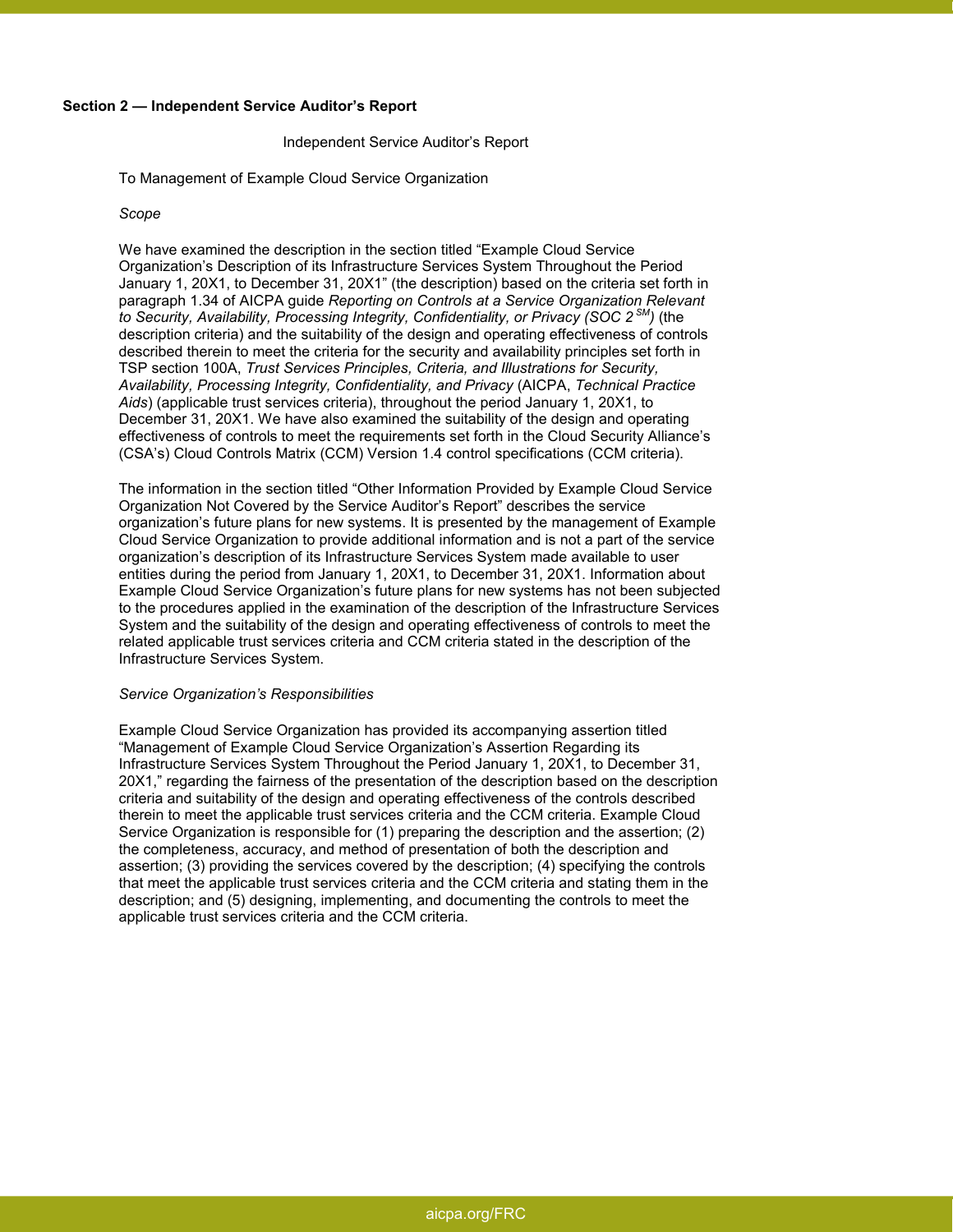#### **Section 2 — Independent Service Auditor's Report**

#### Independent Service Auditor's Report

To Management of Example Cloud Service Organization

#### *Scope*

We have examined the description in the section titled "Example Cloud Service Organization's Description of its Infrastructure Services System Throughout the Period January 1, 20X1, to December 31, 20X1" (the description) based on the criteria set forth in paragraph 1.34 of AICPA guide *Reporting on Controls at a Service Organization Relevant to Security, Availability, Processing Integrity, Confidentiality, or Privacy (SOC 2 SM)* (the description criteria) and the suitability of the design and operating effectiveness of controls described therein to meet the criteria for the security and availability principles set forth in TSP section 100A, *Trust Services Principles, Criteria, and Illustrations for Security, Availability, Processing Integrity, Confidentiality, and Privacy* (AICPA, *Technical Practice Aids*) (applicable trust services criteria), throughout the period January 1, 20X1, to December 31, 20X1. We have also examined the suitability of the design and operating effectiveness of controls to meet the requirements set forth in the Cloud Security Alliance's (CSA's) Cloud Controls Matrix (CCM) Version 1.4 control specifications (CCM criteria).

The information in the section titled "Other Information Provided by Example Cloud Service Organization Not Covered by the Service Auditor's Report" describes the service organization's future plans for new systems. It is presented by the management of Example Cloud Service Organization to provide additional information and is not a part of the service organization's description of its Infrastructure Services System made available to user entities during the period from January 1, 20X1, to December 31, 20X1. Information about Example Cloud Service Organization's future plans for new systems has not been subjected to the procedures applied in the examination of the description of the Infrastructure Services System and the suitability of the design and operating effectiveness of controls to meet the related applicable trust services criteria and CCM criteria stated in the description of the Infrastructure Services System.

#### *Service Organization's Responsibilities*

Example Cloud Service Organization has provided its accompanying assertion titled "Management of Example Cloud Service Organization's Assertion Regarding its Infrastructure Services System Throughout the Period January 1, 20X1, to December 31, 20X1," regarding the fairness of the presentation of the description based on the description criteria and suitability of the design and operating effectiveness of the controls described therein to meet the applicable trust services criteria and the CCM criteria. Example Cloud Service Organization is responsible for (1) preparing the description and the assertion; (2) the completeness, accuracy, and method of presentation of both the description and assertion; (3) providing the services covered by the description; (4) specifying the controls that meet the applicable trust services criteria and the CCM criteria and stating them in the description; and (5) designing, implementing, and documenting the controls to meet the applicable trust services criteria and the CCM criteria.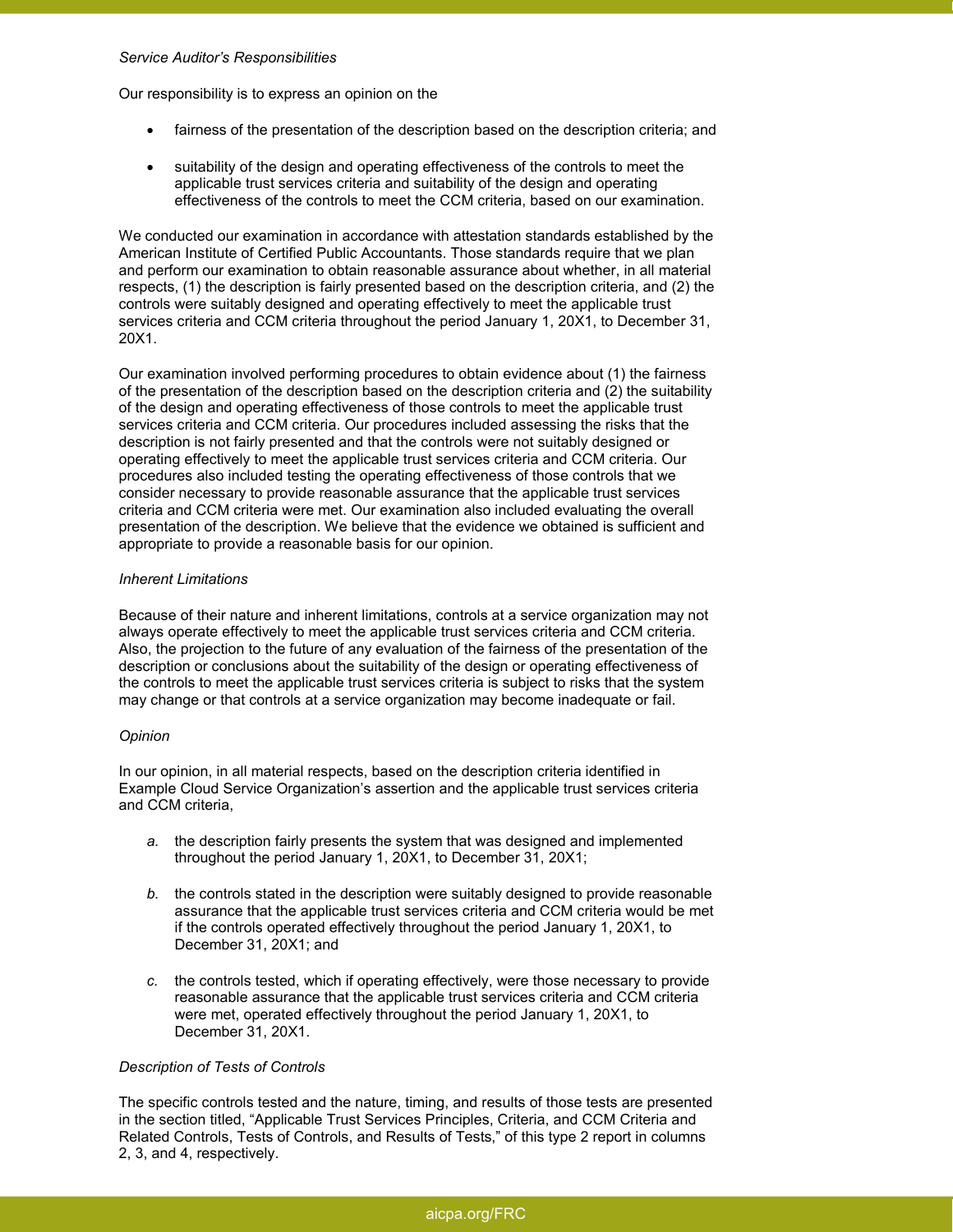#### *Service Auditor's Responsibilities*

Our responsibility is to express an opinion on the

- fairness of the presentation of the description based on the description criteria; and
- suitability of the design and operating effectiveness of the controls to meet the applicable trust services criteria and suitability of the design and operating effectiveness of the controls to meet the CCM criteria, based on our examination.

We conducted our examination in accordance with attestation standards established by the American Institute of Certified Public Accountants. Those standards require that we plan and perform our examination to obtain reasonable assurance about whether, in all material respects, (1) the description is fairly presented based on the description criteria, and (2) the controls were suitably designed and operating effectively to meet the applicable trust services criteria and CCM criteria throughout the period January 1, 20X1, to December 31, 20X1.

Our examination involved performing procedures to obtain evidence about (1) the fairness of the presentation of the description based on the description criteria and (2) the suitability of the design and operating effectiveness of those controls to meet the applicable trust services criteria and CCM criteria. Our procedures included assessing the risks that the description is not fairly presented and that the controls were not suitably designed or operating effectively to meet the applicable trust services criteria and CCM criteria. Our procedures also included testing the operating effectiveness of those controls that we consider necessary to provide reasonable assurance that the applicable trust services criteria and CCM criteria were met. Our examination also included evaluating the overall presentation of the description. We believe that the evidence we obtained is sufficient and appropriate to provide a reasonable basis for our opinion.

#### *Inherent Limitations*

Because of their nature and inherent limitations, controls at a service organization may not always operate effectively to meet the applicable trust services criteria and CCM criteria. Also, the projection to the future of any evaluation of the fairness of the presentation of the description or conclusions about the suitability of the design or operating effectiveness of the controls to meet the applicable trust services criteria is subject to risks that the system may change or that controls at a service organization may become inadequate or fail.

#### *Opinion*

In our opinion, in all material respects, based on the description criteria identified in Example Cloud Service Organization's assertion and the applicable trust services criteria and CCM criteria,

- *a.* the description fairly presents the system that was designed and implemented throughout the period January 1, 20X1, to December 31, 20X1;
- *b.* the controls stated in the description were suitably designed to provide reasonable assurance that the applicable trust services criteria and CCM criteria would be met if the controls operated effectively throughout the period January 1, 20X1, to December 31, 20X1; and
- *c.* the controls tested, which if operating effectively, were those necessary to provide reasonable assurance that the applicable trust services criteria and CCM criteria were met, operated effectively throughout the period January 1, 20X1, to December 31, 20X1.

#### *Description of Tests of Controls*

The specific controls tested and the nature, timing, and results of those tests are presented in the section titled, "Applicable Trust Services Principles, Criteria, and CCM Criteria and Related Controls, Tests of Controls, and Results of Tests," of this type 2 report in columns 2, 3, and 4, respectively.

# aicpa.org/FRC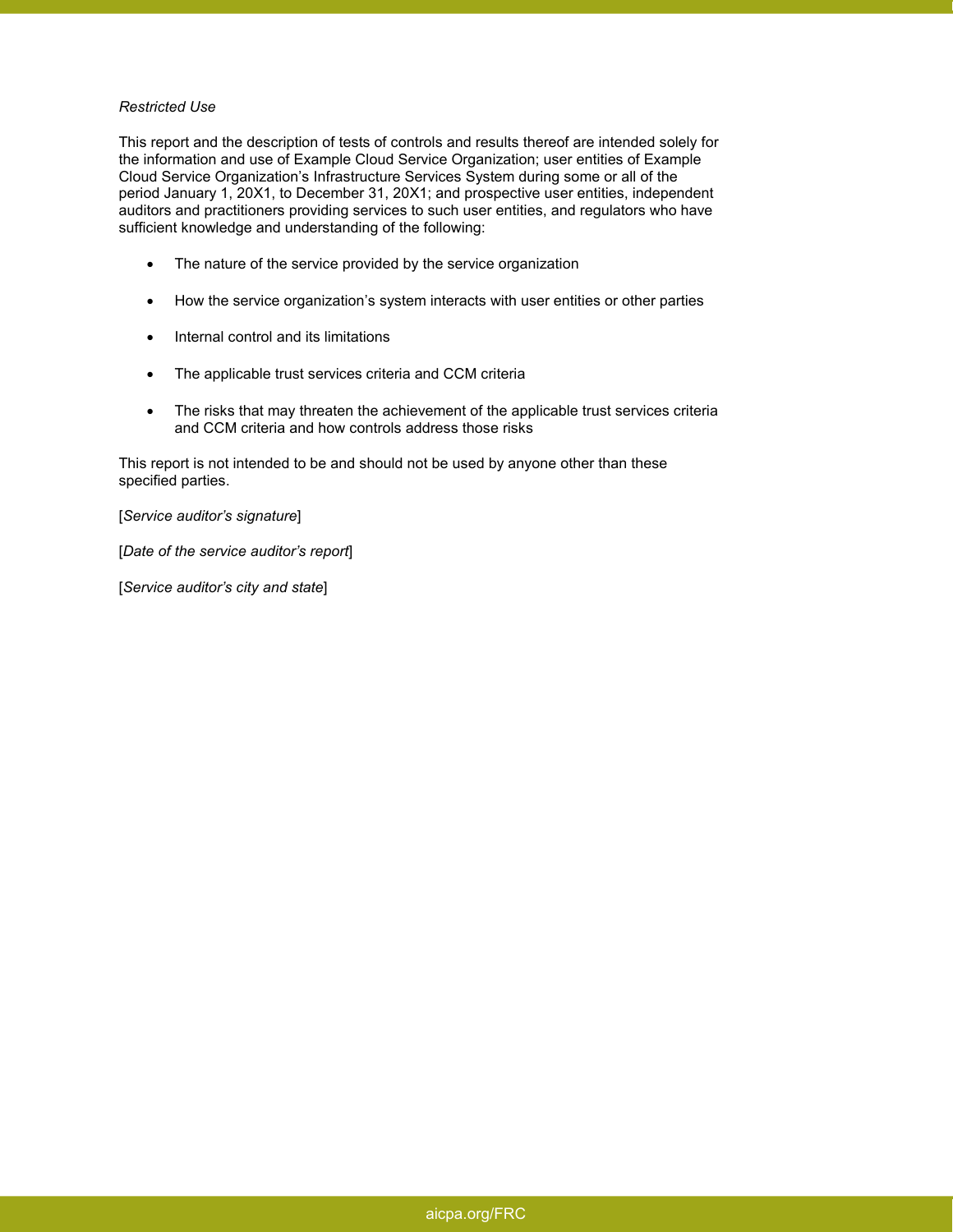#### *Restricted Use*

This report and the description of tests of controls and results thereof are intended solely for the information and use of Example Cloud Service Organization; user entities of Example Cloud Service Organization's Infrastructure Services System during some or all of the period January 1, 20X1, to December 31, 20X1; and prospective user entities, independent auditors and practitioners providing services to such user entities, and regulators who have sufficient knowledge and understanding of the following:

- The nature of the service provided by the service organization
- How the service organization's system interacts with user entities or other parties
- Internal control and its limitations
- The applicable trust services criteria and CCM criteria
- The risks that may threaten the achievement of the applicable trust services criteria and CCM criteria and how controls address those risks

This report is not intended to be and should not be used by anyone other than these specified parties.

[*Service auditor's signature*]

[*Date of the service auditor's report*]

[*Service auditor's city and state*]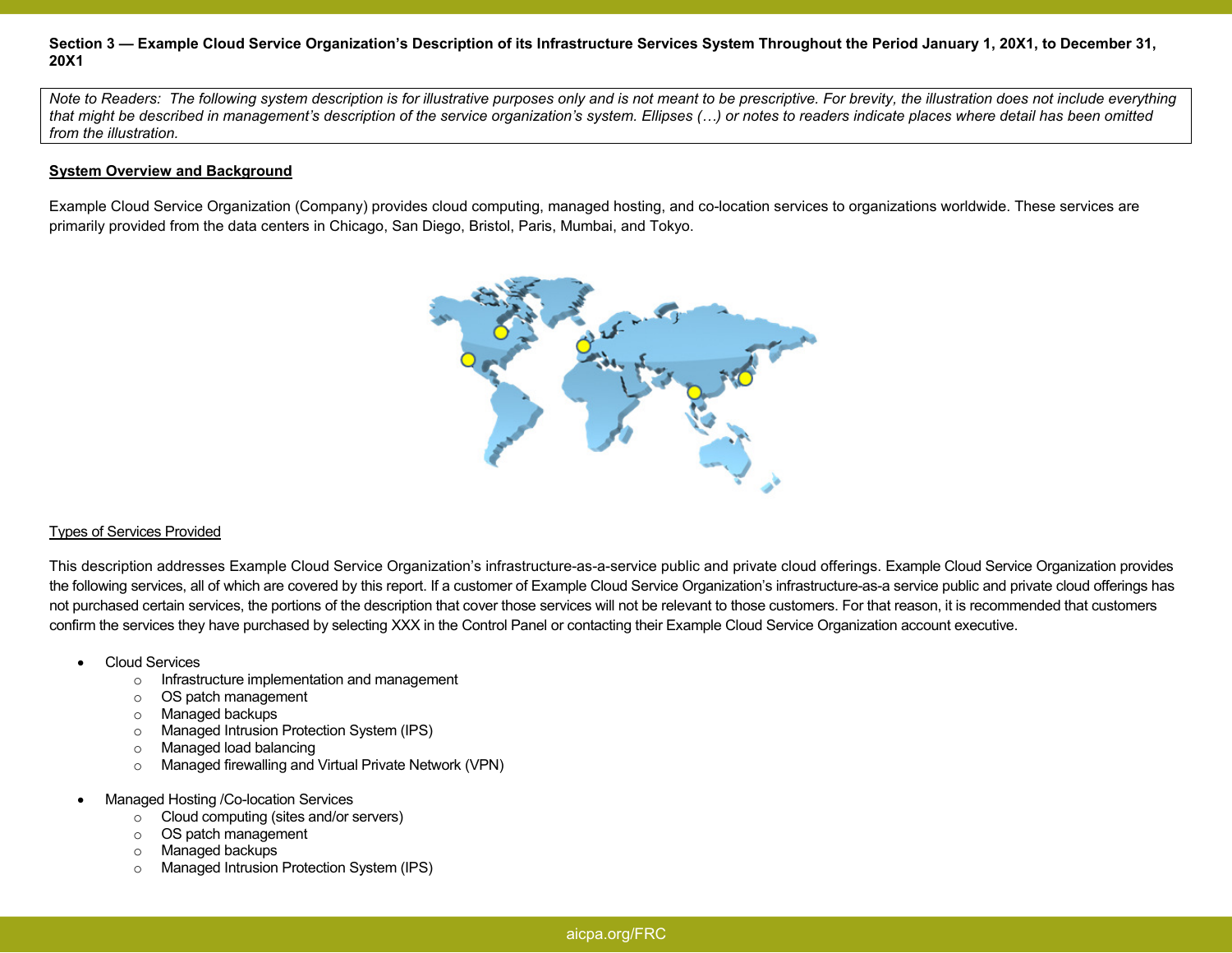### **Section 3 — Example Cloud Service Organization's Description of its Infrastructure Services System Throughout the Period January 1, 20X1, to December 31,20X1**

*Note to Readers: The following system description is for illustrative purposes only and is not meant to be prescriptive. For brevity, the illustration does not include everything that might be described in management's description of the service organization's system. Ellipses (") or notes to readers indicate places where detail has been omitted from the illustration.* 

#### **System Overview and Background**

Example Cloud Service Organization (Company) provides cloud computing, managed hosting, and co-location services to organizations worldwide. These services are primarily provided from the data centers in Chicago, San Diego, Bristol, Paris, Mumbai, and Tokyo.



#### Types of Services Provided

This description addresses Example Cloud Service Organization's infrastructure-as-a-service public and private cloud offerings. Example Cloud Service Organization provides the following services, all of which are covered by this report. If a customer of Example Cloud Service Organization's infrastructure-as-a service public and private cloud offerings has not purchased certain services, the portions of the description that cover those services will not be relevant to those customers. For that reason, it is recommended that customers confirm the services they have purchased by selecting XXX in the Control Panel or contacting their Example Cloud Service Organization account executive.

- Cloud Services
	- $\circ$  Infrastructure implementation and management
	- o OS patch management
	- o Managed backups
	- o Managed Intrusion Protection System (IPS)
	- o Managed load balancing
	- o Managed firewalling and Virtual Private Network (VPN)
- Managed Hosting /Co-location Services
	- $\circ$  Cloud computing (sites and/or servers)
	- o OS patch management
	- o Managed backups
	- o Managed Intrusion Protection System (IPS)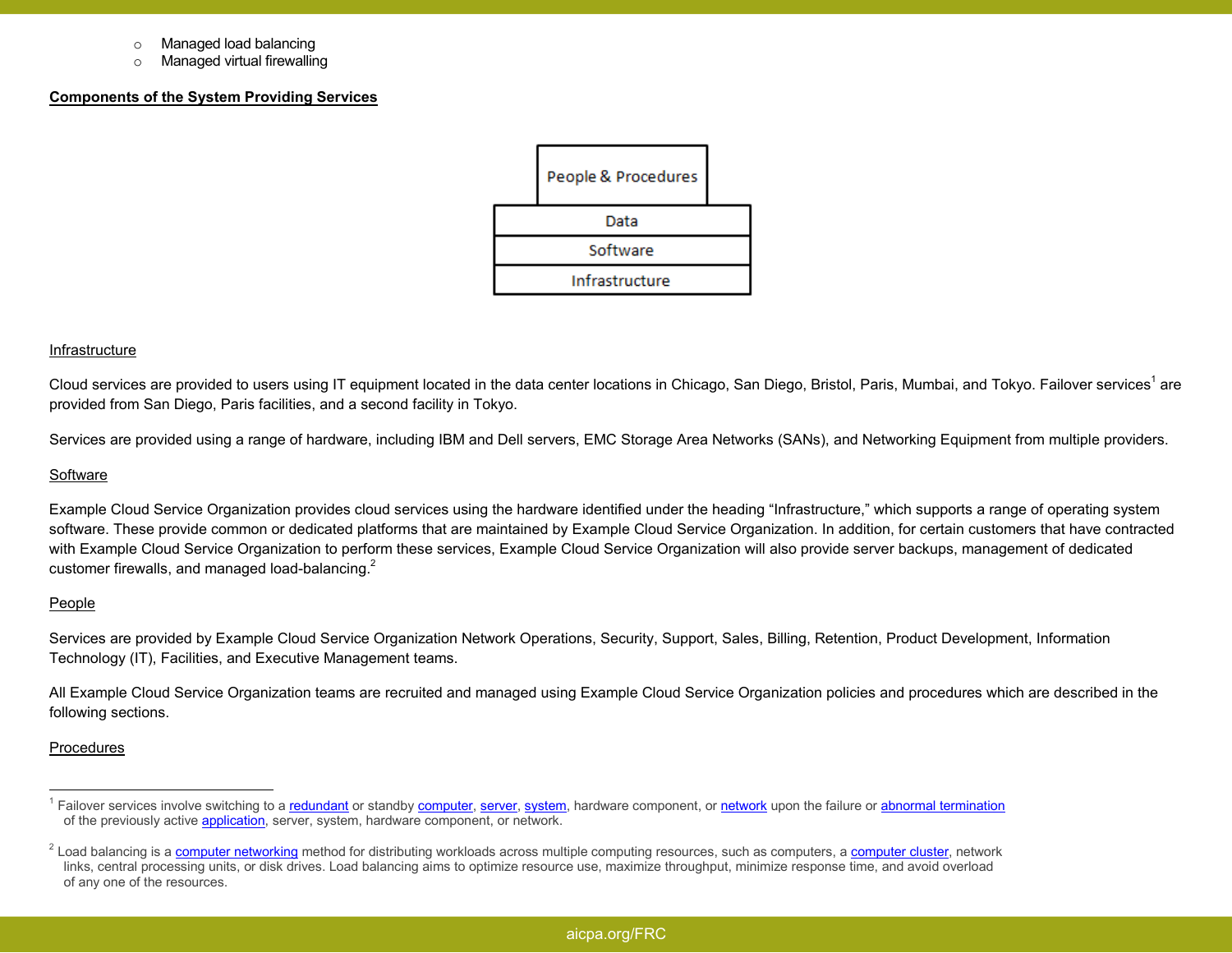- o Managed load balancing
- o Managed virtual firewalling

## **Components of the System Providing Services**

| People & Procedures |  |
|---------------------|--|
| Data                |  |
| Software            |  |
| Infrastructure      |  |

#### Infrastructure

Cloud services are provided to users using IT equipment located in the data center locations in Chicago, San Diego, Bristol, Paris, Mumbai, and Tokyo. Failover services<sup>1</sup> are provided from San Diego, Paris facilities, and a second facility in Tokyo.

Services are provided using a range of hardware, including IBM and Dell servers, EMC Storage Area Networks (SANs), and Networking Equipment from multiple providers.

#### **Software**

Example Cloud Service Organization provides cloud services using the hardware identified under the heading "Infrastructure," which supports a range of operating system software. These provide common or dedicated platforms that are maintained by Example Cloud Service Organization. In addition, for certain customers that have contracted with Example Cloud Service Organization to perform these services, Example Cloud Service Organization will also provide server backups, management of dedicated customer firewalls, and managed load-balancing.<sup>2</sup>

#### People

Services are provided by Example Cloud Service Organization Network Operations, Security, Support, Sales, Billing, Retention, Product Development, Information Technology (IT), Facilities, and Executive Management teams.

All Example Cloud Service Organization teams are recruited and managed using Example Cloud Service Organization policies and procedures which are described in the following sections.

#### Procedures

<sup>&</sup>lt;sup>1</sup> Failover services involve switching to a redundant or standby computer, server, system, hardware component, or network upon the failure or abnormal termination of the previously active application, server, system, hardware component, or network.

<sup>&</sup>lt;sup>2</sup> Load balancing is a <u>computer networking</u> method for distributing workloads across multiple computing resources, such as computers, a <u>computer cluster</u>, network links, central processing units, or disk drives. Load balancing aims to optimize resource use, maximize throughput, minimize response time, and avoid overload of any one of the resources.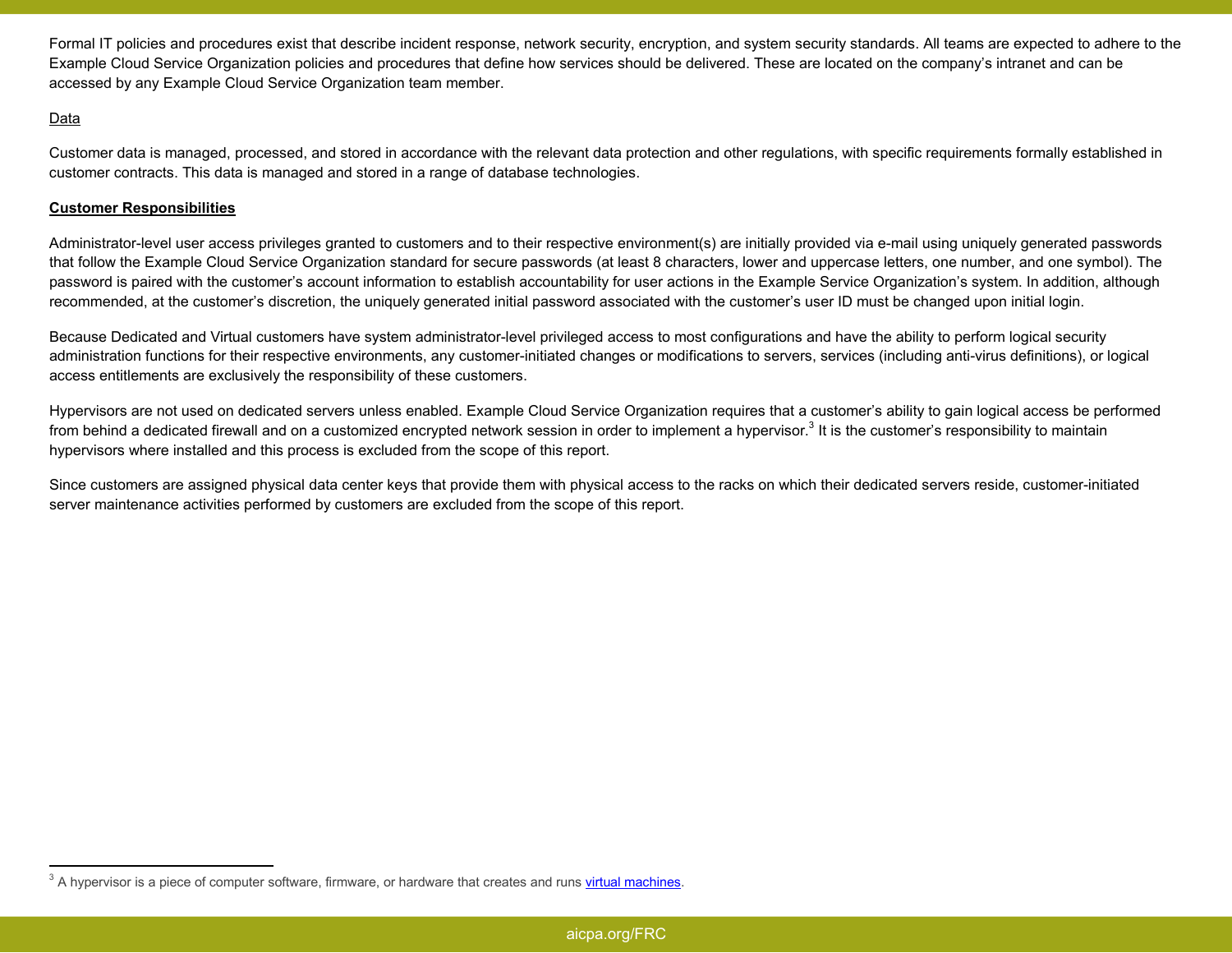Formal IT policies and procedures exist that describe incident response, network security, encryption, and system security standards. All teams are expected to adhere to the Example Cloud Service Organization policies and procedures that define how services should be delivered. These are located on the company's intranet and can be accessed by any Example Cloud Service Organization team member.

# Data

Customer data is managed, processed, and stored in accordance with the relevant data protection and other regulations, with specific requirements formally established in customer contracts. This data is managed and stored in a range of database technologies.

# **Customer Responsibilities**

Administrator-level user access privileges granted to customers and to their respective environment(s) are initially provided via e-mail using uniquely generated passwords that follow the Example Cloud Service Organization standard for secure passwords (at least 8 characters, lower and uppercase letters, one number, and one symbol). The password is paired with the customer's account information to establish accountability for user actions in the Example Service Organization's system. In addition, although recommended, at the customer's discretion, the uniquely generated initial password associated with the customer's user ID must be changed upon initial login.

Because Dedicated and Virtual customers have system administrator-level privileged access to most configurations and have the ability to perform logical security administration functions for their respective environments, any customer-initiated changes or modifications to servers, services (including anti-virus definitions), or logical access entitlements are exclusively the responsibility of these customers.

Hypervisors are not used on dedicated servers unless enabled. Example Cloud Service Organization requires that a customer's ability to gain logical access be performed from behind a dedicated firewall and on a customized encrypted network session in order to implement a hypervisor.<sup>3</sup> It is the customer's responsibility to maintain hypervisors where installed and this process is excluded from the scope of this report.

Since customers are assigned physical data center keys that provide them with physical access to the racks on which their dedicated servers reside, customer-initiated server maintenance activities performed by customers are excluded from the scope of this report.

<sup>&</sup>lt;sup>3</sup> A hypervisor is a piece of computer software, firmware, or hardware that creates and runs *virtual machines*.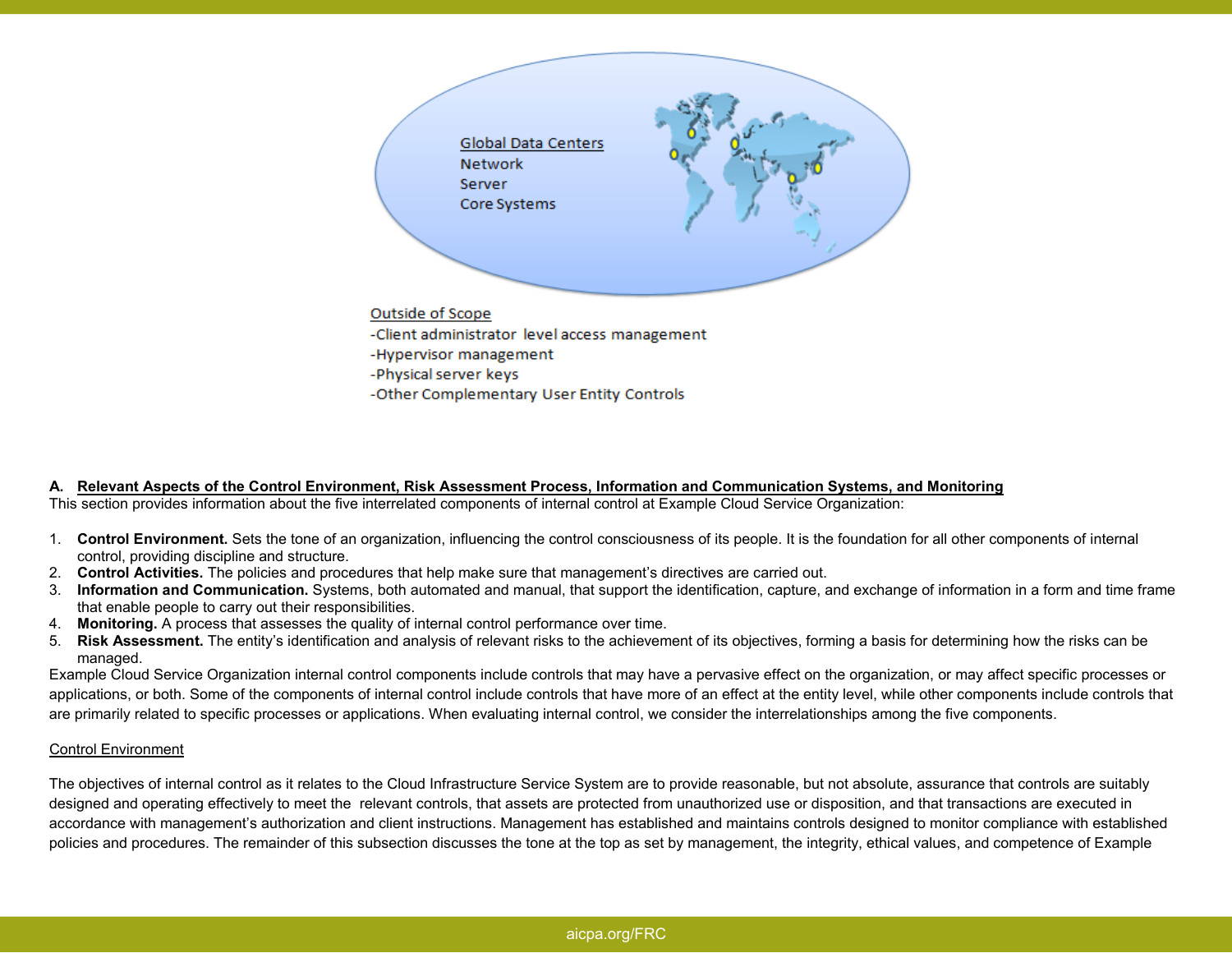

**A. Relevant Aspects of the Control Environment, Risk Assessment Process, Information and Communication Systems, and Monitoring** This section provides information about the five interrelated components of internal control at Example Cloud Service Organization:

- 1. **Control Environment.** Sets the tone of an organization, influencing the control consciousness of its people. It is the foundation for all other components of internal control, providing discipline and structure.
- 2. **Control Activities.** The policies and procedures that help make sure that management's directives are carried out.
- 3. **Information and Communication.** Systems, both automated and manual, that support the identification, capture, and exchange of information in a form and time frame that enable people to carry out their responsibilities.
- 4. **Monitoring.** A process that assesses the quality of internal control performance over time.
- 5. **Risk Assessment.** The entity's identification and analysis of relevant risks to the achievement of its objectives, forming a basis for determining how the risks can be managed.

 Example Cloud Service Organization internal control components include controls that may have a pervasive effect on the organization, or may affect specific processes or applications, or both. Some of the components of internal control include controls that have more of an effect at the entity level, while other components include controls that are primarily related to specific processes or applications. When evaluating internal control, we consider the interrelationships among the five components.

## Control Environment

The objectives of internal control as it relates to the Cloud Infrastructure Service System are to provide reasonable, but not absolute, assurance that controls are suitably designed and operating effectively to meet the relevant controls, that assets are protected from unauthorized use or disposition, and that transactions are executed in accordance with management's authorization and client instructions. Management has established and maintains controls designed to monitor compliance with established policies and procedures. The remainder of this subsection discusses the tone at the top as set by management, the integrity, ethical values, and competence of Example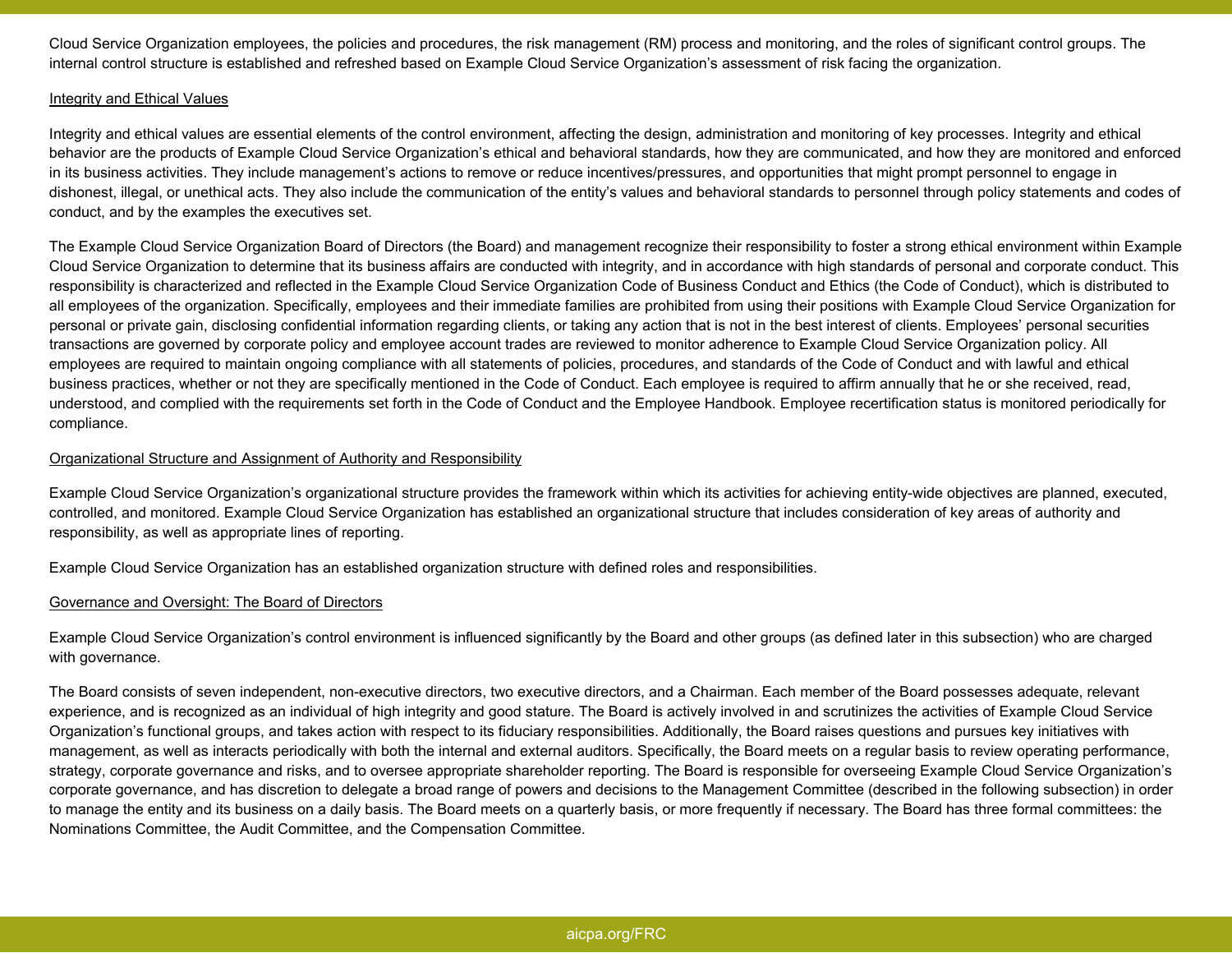Cloud Service Organization employees, the policies and procedures, the risk management (RM) process and monitoring, and the roles of significant control groups. The internal control structure is established and refreshed based on Example Cloud Service Organization's assessment of risk facing the organization.

### Integrity and Ethical Values

Integrity and ethical values are essential elements of the control environment, affecting the design, administration and monitoring of key processes. Integrity and ethical behavior are the products of Example Cloud Service Organization's ethical and behavioral standards, how they are communicated, and how they are monitored and enforced in its business activities. They include management's actions to remove or reduce incentives/pressures, and opportunities that might prompt personnel to engage in dishonest, illegal, or unethical acts. They also include the communication of the entity's values and behavioral standards to personnel through policy statements and codes of conduct, and by the examples the executives set.

The Example Cloud Service Organization Board of Directors (the Board) and management recognize their responsibility to foster a strong ethical environment within Example Cloud Service Organization to determine that its business affairs are conducted with integrity, and in accordance with high standards of personal and corporate conduct. This responsibility is characterized and reflected in the Example Cloud Service Organization Code of Business Conduct and Ethics (the Code of Conduct), which is distributed to all employees of the organization. Specifically, employees and their immediate families are prohibited from using their positions with Example Cloud Service Organization for personal or private gain, disclosing confidential information regarding clients, or taking any action that is not in the best interest of clients. Employees' personal securities transactions are governed by corporate policy and employee account trades are reviewed to monitor adherence to Example Cloud Service Organization policy. All employees are required to maintain ongoing compliance with all statements of policies, procedures, and standards of the Code of Conduct and with lawful and ethical business practices, whether or not they are specifically mentioned in the Code of Conduct. Each employee is required to affirm annually that he or she received, read, understood, and complied with the requirements set forth in the Code of Conduct and the Employee Handbook. Employee recertification status is monitored periodically for compliance.

## Organizational Structure and Assignment of Authority and Responsibility

Example Cloud Service Organization's organizational structure provides the framework within which its activities for achieving entity-wide objectives are planned, executed, controlled, and monitored. Example Cloud Service Organization has established an organizational structure that includes consideration of key areas of authority and responsibility, as well as appropriate lines of reporting.

Example Cloud Service Organization has an established organization structure with defined roles and responsibilities.

#### Governance and Oversight: The Board of Directors

Example Cloud Service Organization's control environment is influenced significantly by the Board and other groups (as defined later in this subsection) who are charged with governance.

The Board consists of seven independent, non-executive directors, two executive directors, and a Chairman. Each member of the Board possesses adequate, relevant experience, and is recognized as an individual of high integrity and good stature. The Board is actively involved in and scrutinizes the activities of Example Cloud Service Organization's functional groups, and takes action with respect to its fiduciary responsibilities. Additionally, the Board raises questions and pursues key initiatives with management, as well as interacts periodically with both the internal and external auditors. Specifically, the Board meets on a regular basis to review operating performance, strategy, corporate governance and risks, and to oversee appropriate shareholder reporting. The Board is responsible for overseeing Example Cloud Service Organization's corporate governance, and has discretion to delegate a broad range of powers and decisions to the Management Committee (described in the following subsection) in order to manage the entity and its business on a daily basis. The Board meets on a quarterly basis, or more frequently if necessary. The Board has three formal committees: the Nominations Committee, the Audit Committee, and the Compensation Committee.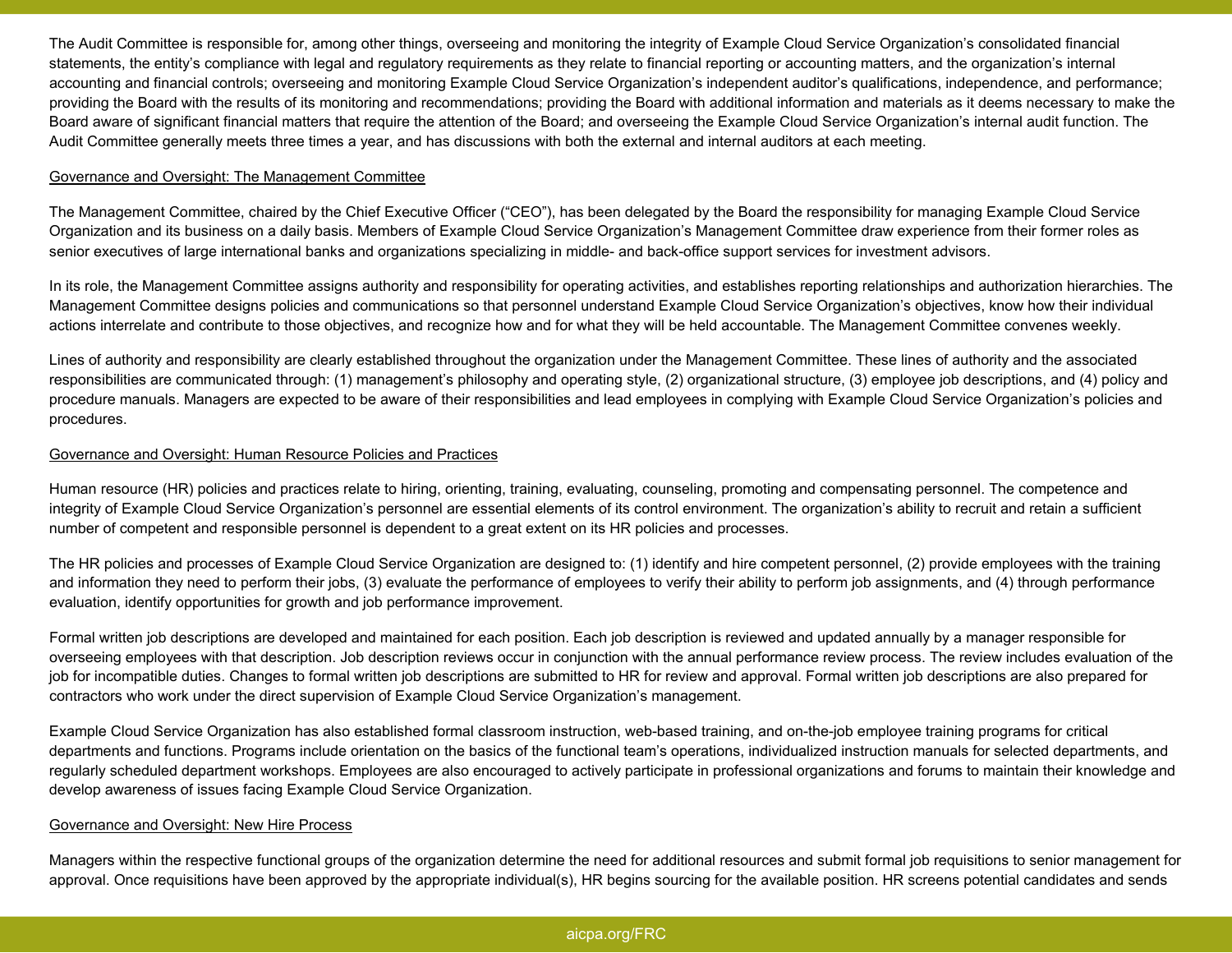The Audit Committee is responsible for, among other things, overseeing and monitoring the integrity of Example Cloud Service Organization's consolidated financial statements, the entity's compliance with legal and regulatory requirements as they relate to financial reporting or accounting matters, and the organization's internal accounting and financial controls; overseeing and monitoring Example Cloud Service Organization's independent auditor's qualifications, independence, and performance; providing the Board with the results of its monitoring and recommendations; providing the Board with additional information and materials as it deems necessary to make the Board aware of significant financial matters that require the attention of the Board; and overseeing the Example Cloud Service Organization's internal audit function. The Audit Committee generally meets three times a year, and has discussions with both the external and internal auditors at each meeting.

## Governance and Oversight: The Management Committee

The Management Committee, chaired by the Chief Executive Officer ("CEO"), has been delegated by the Board the responsibility for managing Example Cloud Service Organization and its business on a daily basis. Members of Example Cloud Service Organization's Management Committee draw experience from their former roles as senior executives of large international banks and organizations specializing in middle- and back-office support services for investment advisors.

In its role, the Management Committee assigns authority and responsibility for operating activities, and establishes reporting relationships and authorization hierarchies. The Management Committee designs policies and communications so that personnel understand Example Cloud Service Organization's objectives, know how their individual actions interrelate and contribute to those objectives, and recognize how and for what they will be held accountable. The Management Committee convenes weekly.

Lines of authority and responsibility are clearly established throughout the organization under the Management Committee. These lines of authority and the associated responsibilities are communicated through: (1) management's philosophy and operating style, (2) organizational structure, (3) employee job descriptions, and (4) policy and procedure manuals. Managers are expected to be aware of their responsibilities and lead employees in complying with Example Cloud Service Organization's policies and procedures.

## Governance and Oversight: Human Resource Policies and Practices

Human resource (HR) policies and practices relate to hiring, orienting, training, evaluating, counseling, promoting and compensating personnel. The competence and integrity of Example Cloud Service Organization's personnel are essential elements of its control environment. The organization's ability to recruit and retain a sufficient number of competent and responsible personnel is dependent to a great extent on its HR policies and processes.

The HR policies and processes of Example Cloud Service Organization are designed to: (1) identify and hire competent personnel, (2) provide employees with the training and information they need to perform their jobs, (3) evaluate the performance of employees to verify their ability to perform job assignments, and (4) through performance evaluation, identify opportunities for growth and job performance improvement.

Formal written job descriptions are developed and maintained for each position. Each job description is reviewed and updated annually by a manager responsible for overseeing employees with that description. Job description reviews occur in conjunction with the annual performance review process. The review includes evaluation of the job for incompatible duties. Changes to formal written job descriptions are submitted to HR for review and approval. Formal written job descriptions are also prepared for contractors who work under the direct supervision of Example Cloud Service Organization's management.

Example Cloud Service Organization has also established formal classroom instruction, web-based training, and on-the-job employee training programs for critical departments and functions. Programs include orientation on the basics of the functional team's operations, individualized instruction manuals for selected departments, and regularly scheduled department workshops. Employees are also encouraged to actively participate in professional organizations and forums to maintain their knowledge and develop awareness of issues facing Example Cloud Service Organization.

## Governance and Oversight: New Hire Process

Managers within the respective functional groups of the organization determine the need for additional resources and submit formal job requisitions to senior management for approval. Once requisitions have been approved by the appropriate individual(s), HR begins sourcing for the available position. HR screens potential candidates and sends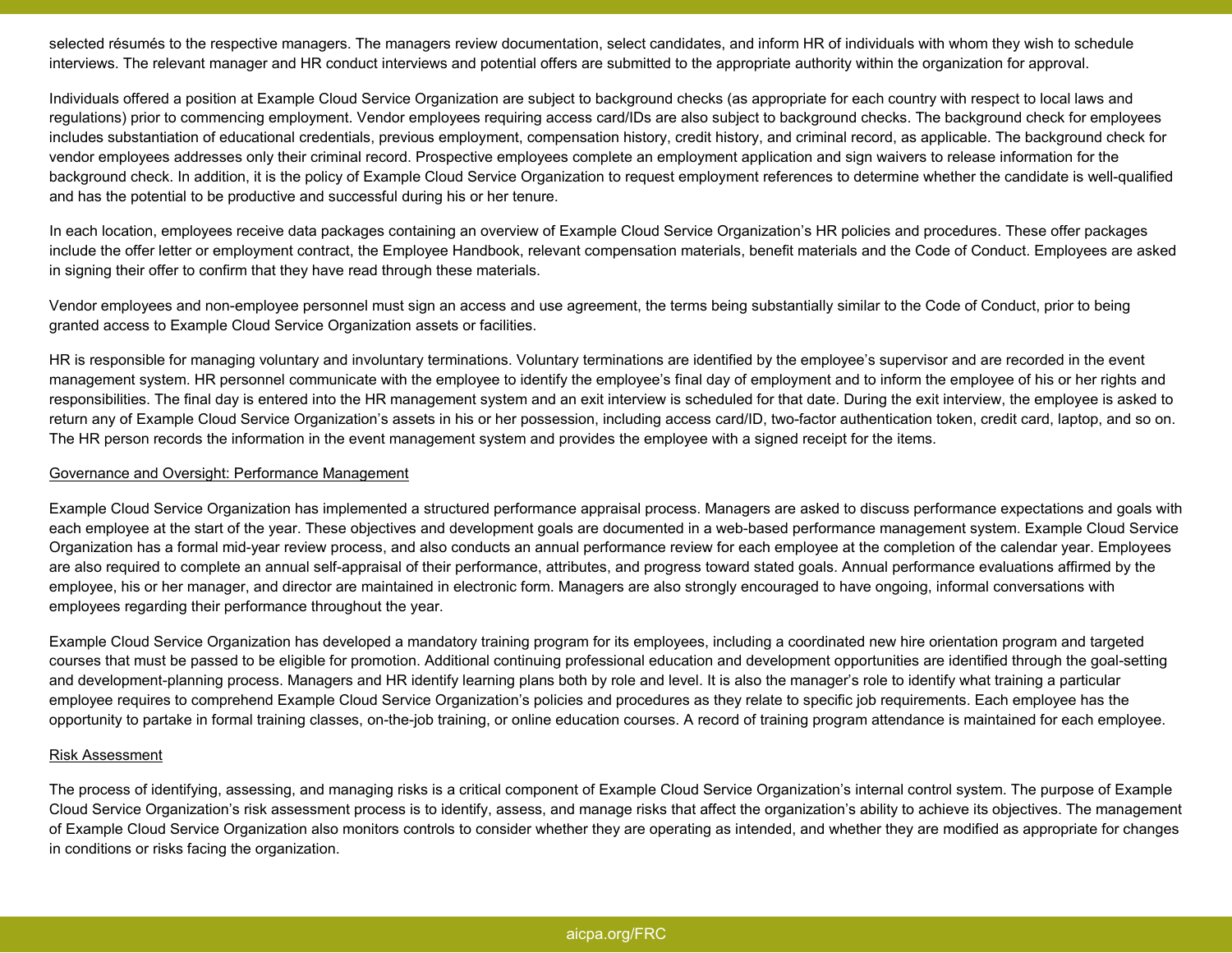selected résumés to the respective managers. The managers review documentation, select candidates, and inform HR of individuals with whom they wish to schedule interviews. The relevant manager and HR conduct interviews and potential offers are submitted to the appropriate authority within the organization for approval.

Individuals offered a position at Example Cloud Service Organization are subject to background checks (as appropriate for each country with respect to local laws and regulations) prior to commencing employment. Vendor employees requiring access card/IDs are also subject to background checks. The background check for employees includes substantiation of educational credentials, previous employment, compensation history, credit history, and criminal record, as applicable. The background check for vendor employees addresses only their criminal record. Prospective employees complete an employment application and sign waivers to release information for the background check. In addition, it is the policy of Example Cloud Service Organization to request employment references to determine whether the candidate is well-qualified and has the potential to be productive and successful during his or her tenure.

In each location, employees receive data packages containing an overview of Example Cloud Service Organization's HR policies and procedures. These offer packages include the offer letter or employment contract, the Employee Handbook, relevant compensation materials, benefit materials and the Code of Conduct. Employees are asked in signing their offer to confirm that they have read through these materials.

Vendor employees and non-employee personnel must sign an access and use agreement, the terms being substantially similar to the Code of Conduct, prior to being granted access to Example Cloud Service Organization assets or facilities.

HR is responsible for managing voluntary and involuntary terminations. Voluntary terminations are identified by the employee's supervisor and are recorded in the event management system. HR personnel communicate with the employee to identify the employee's final day of employment and to inform the employee of his or her rights and responsibilities. The final day is entered into the HR management system and an exit interview is scheduled for that date. During the exit interview, the employee is asked to return any of Example Cloud Service Organization's assets in his or her possession, including access card/ID, two-factor authentication token, credit card, laptop, and so on. The HR person records the information in the event management system and provides the employee with a signed receipt for the items.

### Governance and Oversight: Performance Management

Example Cloud Service Organization has implemented a structured performance appraisal process. Managers are asked to discuss performance expectations and goals with each employee at the start of the year. These objectives and development goals are documented in a web-based performance management system. Example Cloud Service Organization has a formal mid-year review process, and also conducts an annual performance review for each employee at the completion of the calendar year. Employees are also required to complete an annual self-appraisal of their performance, attributes, and progress toward stated goals. Annual performance evaluations affirmed by the employee, his or her manager, and director are maintained in electronic form. Managers are also strongly encouraged to have ongoing, informal conversations with employees regarding their performance throughout the year.

Example Cloud Service Organization has developed a mandatory training program for its employees, including a coordinated new hire orientation program and targeted courses that must be passed to be eligible for promotion. Additional continuing professional education and development opportunities are identified through the goal-setting and development-planning process. Managers and HR identify learning plans both by role and level. It is also the manager's role to identify what training a particular employee requires to comprehend Example Cloud Service Organization's policies and procedures as they relate to specific job requirements. Each employee has the opportunity to partake in formal training classes, on-the-job training, or online education courses. A record of training program attendance is maintained for each employee.

#### Risk Assessment

The process of identifying, assessing, and managing risks is a critical component of Example Cloud Service Organization's internal control system. The purpose of Example Cloud Service Organization's risk assessment process is to identify, assess, and manage risks that affect the organization's ability to achieve its objectives. The management of Example Cloud Service Organization also monitors controls to consider whether they are operating as intended, and whether they are modified as appropriate for changes in conditions or risks facing the organization.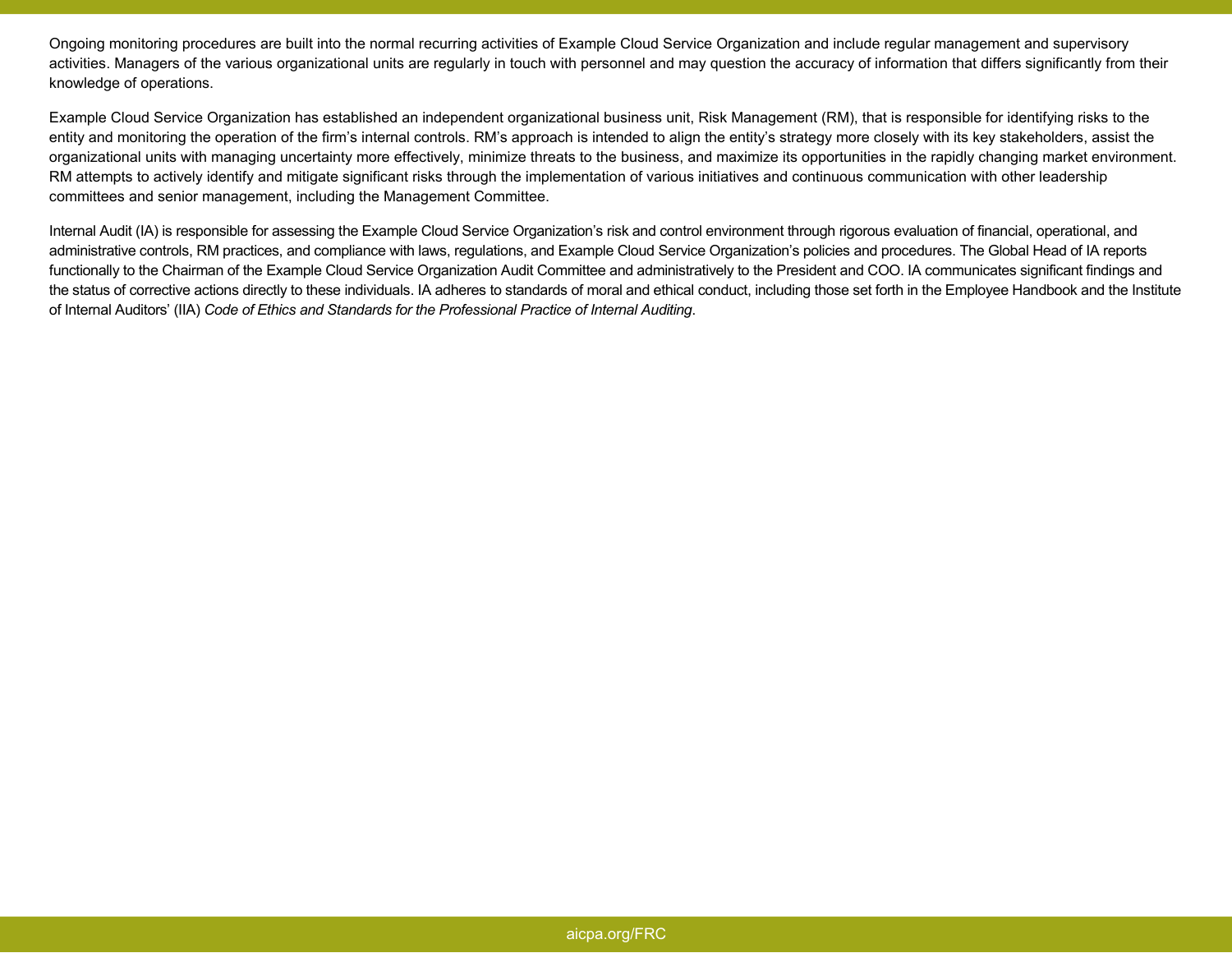Ongoing monitoring procedures are built into the normal recurring activities of Example Cloud Service Organization and include regular management and supervisory activities. Managers of the various organizational units are regularly in touch with personnel and may question the accuracy of information that differs significantly from their knowledge of operations.

Example Cloud Service Organization has established an independent organizational business unit, Risk Management (RM), that is responsible for identifying risks to the entity and monitoring the operation of the firm's internal controls. RM's approach is intended to align the entity's strategy more closely with its key stakeholders, assist the organizational units with managing uncertainty more effectively, minimize threats to the business, and maximize its opportunities in the rapidly changing market environment. RM attempts to actively identify and mitigate significant risks through the implementation of various initiatives and continuous communication with other leadership committees and senior management, including the Management Committee.

Internal Audit (IA) is responsible for assessing the Example Cloud Service Organization's risk and control environment through rigorous evaluation of financial, operational, and administrative controls, RM practices, and compliance with laws, regulations, and Example Cloud Service Organization's policies and procedures. The Global Head of IA reports functionally to the Chairman of the Example Cloud Service Organization Audit Committee and administratively to the President and COO. IA communicates significant findings and the status of corrective actions directly to these individuals. IA adheres to standards of moral and ethical conduct, including those set forth in the Employee Handbook and the Institute of Internal Auditors' (IIA) *Code of Ethics and Standards for the Professional Practice of Internal Auditing*.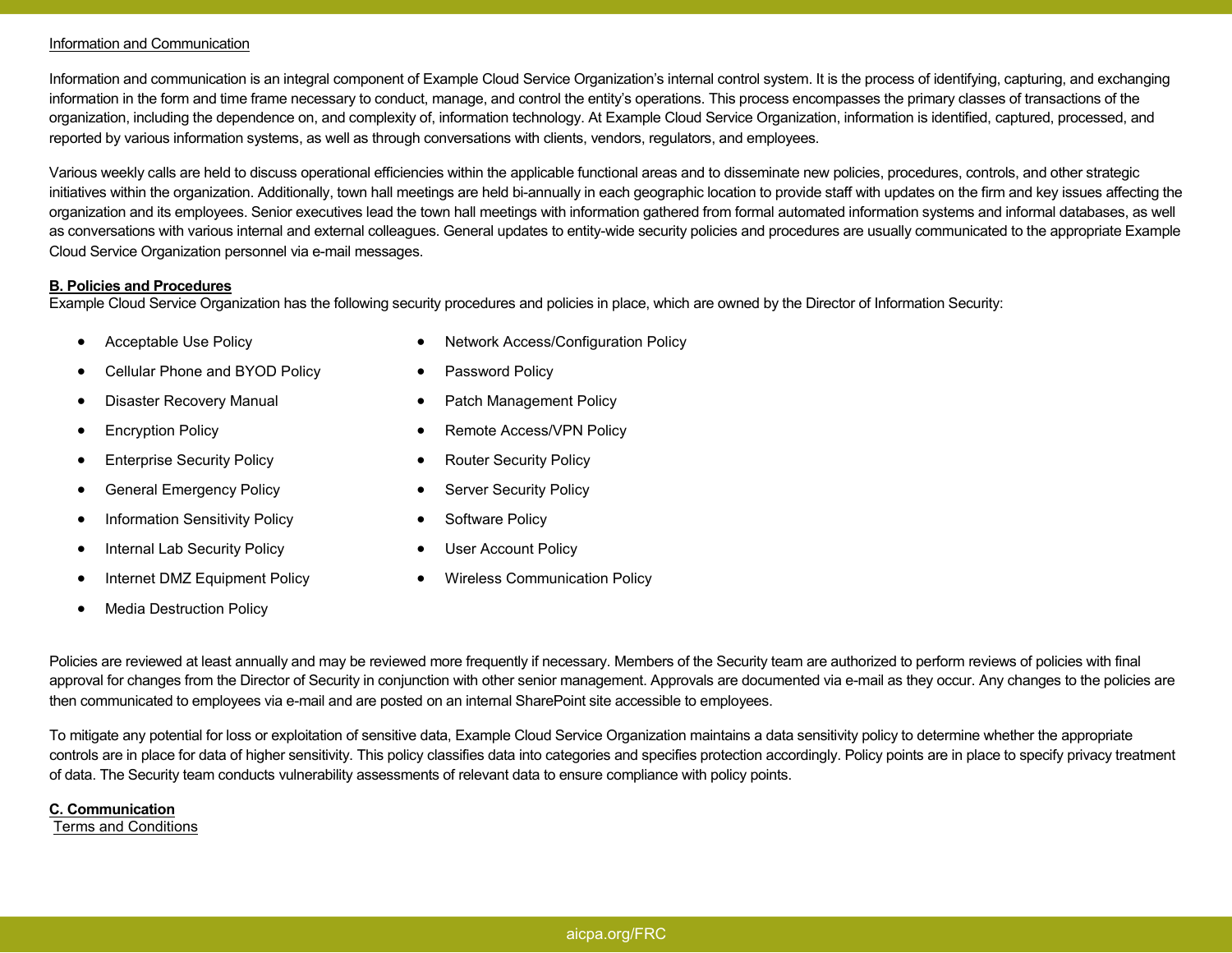### Information and Communication

Information and communication is an integral component of Example Cloud Service Organization's internal control system. It is the process of identifying, capturing, and exchanging information in the form and time frame necessary to conduct, manage, and control the entity's operations. This process encompasses the primary classes of transactions of the organization, including the dependence on, and complexity of, information technology. At Example Cloud Service Organization, information is identified, captured, processed, and reported by various information systems, as well as through conversations with clients, vendors, regulators, and employees.

Various weekly calls are held to discuss operational efficiencies within the applicable functional areas and to disseminate new policies, procedures, controls, and other strategic initiatives within the organization. Additionally, town hall meetings are held bi-annually in each geographic location to provide staff with updates on the firm and key issues affecting the organization and its employees. Senior executives lead the town hall meetings with information gathered from formal automated information systems and informal databases, as well as conversations with various internal and external colleagues. General updates to entity-wide security policies and procedures are usually communicated to the appropriate Example Cloud Service Organization personnel via e-mail messages.

## **B. Policies and Procedures**

Example Cloud Service Organization has the following security procedures and policies in place, which are owned by the Director of Information Security:

- •Acceptable Use Policy
- •Cellular Phone and BYOD Policy
- •Disaster Recovery Manual
- •Encryption Policy
- •Enterprise Security Policy
- •General Emergency Policy
- •Information Sensitivity Policy
- •Internal Lab Security Policy
- •Internet DMZ Equipment Policy
- •Media Destruction Policy
- •Network Access/Configuration Policy
- $\bullet$ Password Policy
- •Patch Management Policy
- •Remote Access/VPN Policy
- •Router Security Policy
- •Server Security Policy
- •Software Policy
- •User Account Policy
- •Wireless Communication Policy

Policies are reviewed at least annually and may be reviewed more frequently if necessary. Members of the Security team are authorized to perform reviews of policies with final approval for changes from the Director of Security in conjunction with other senior management. Approvals are documented via e-mail as they occur. Any changes to the policies are then communicated to employees via e-mail and are posted on an internal SharePoint site accessible to employees.

To mitigate any potential for loss or exploitation of sensitive data, Example Cloud Service Organization maintains a data sensitivity policy to determine whether the appropriate controls are in place for data of higher sensitivity. This policy classifies data into categories and specifies protection accordingly. Policy points are in place to specify privacy treatment of data. The Security team conducts vulnerability assessments of relevant data to ensure compliance with policy points.

## **C. Communication**

Terms and Conditions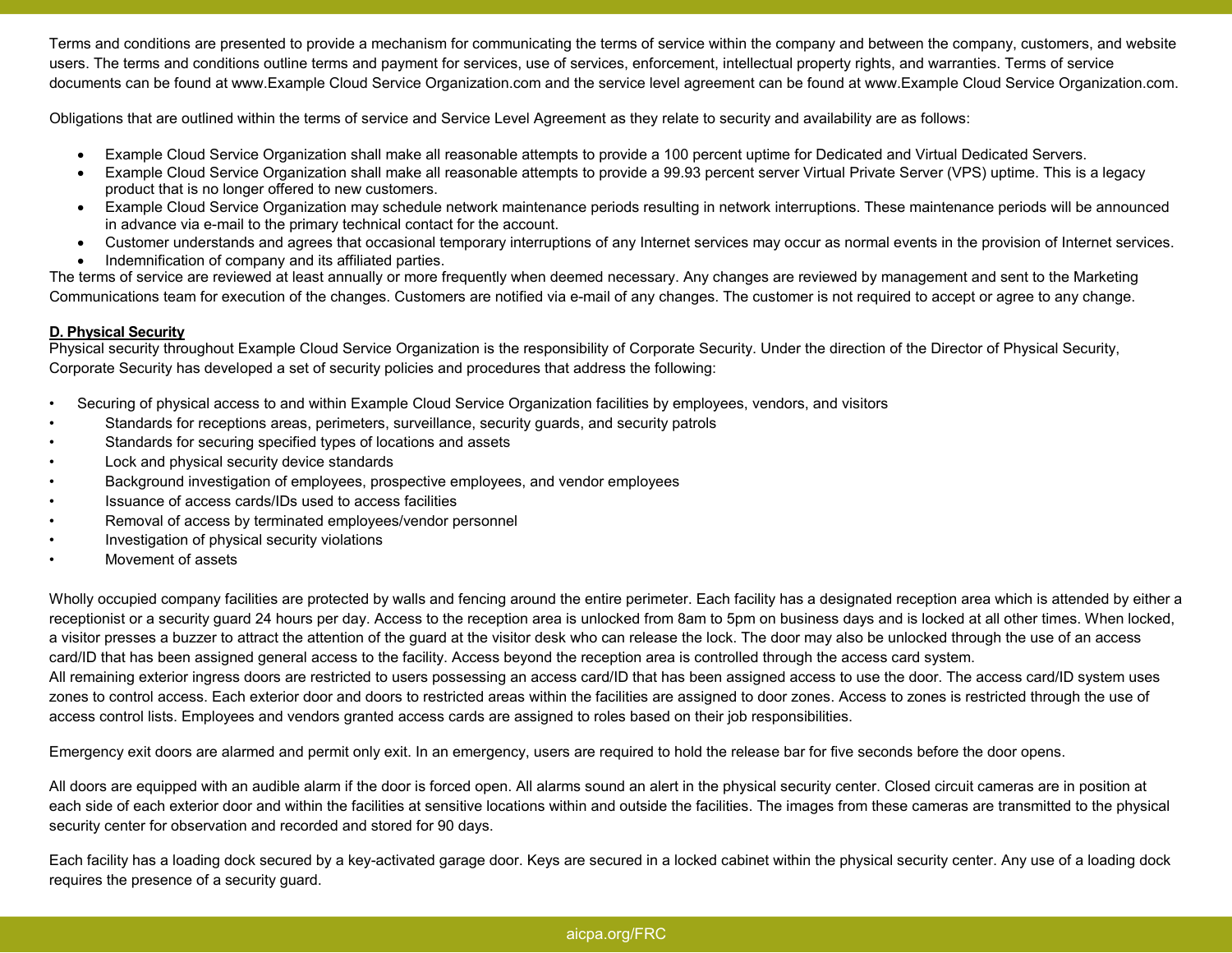Terms and conditions are presented to provide a mechanism for communicating the terms of service within the company and between the company, customers, and website users. The terms and conditions outline terms and payment for services, use of services, enforcement, intellectual property rights, and warranties. Terms of service documents can be found at www.Example Cloud Service Organization.com and the service level agreement can be found at www.Example Cloud Service Organization.com.

Obligations that are outlined within the terms of service and Service Level Agreement as they relate to security and availability are as follows:

- Example Cloud Service Organization shall make all reasonable attempts to provide a 100 percent uptime for Dedicated and Virtual Dedicated Servers.
- Example Cloud Service Organization shall make all reasonable attempts to provide a 99.93 percent server Virtual Private Server (VPS) uptime. This is a legacy product that is no longer offered to new customers.
- Example Cloud Service Organization may schedule network maintenance periods resulting in network interruptions. These maintenance periods will be announced in advance via e-mail to the primary technical contact for the account.
- Customer understands and agrees that occasional temporary interruptions of any Internet services may occur as normal events in the provision of Internet services.
- Indemnification of company and its affiliated parties.

 The terms of service are reviewed at least annually or more frequently when deemed necessary. Any changes are reviewed by management and sent to the Marketing Communications team for execution of the changes. Customers are notified via e-mail of any changes. The customer is not required to accept or agree to any change.

# **D. Physical Security**

 Physical security throughout Example Cloud Service Organization is the responsibility of Corporate Security. Under the direction of the Director of Physical Security, Corporate Security has developed a set of security policies and procedures that address the following:

- Securing of physical access to and within Example Cloud Service Organization facilities by employees, vendors, and visitors
- Standards for receptions areas, perimeters, surveillance, security guards, and security patrols
- Standards for securing specified types of locations and assets
- Lock and physical security device standards
- Background investigation of employees, prospective employees, and vendor employees
- Issuance of access cards/IDs used to access facilities
- Removal of access by terminated employees/vendor personnel
- Investigation of physical security violations
- Movement of assets

Wholly occupied company facilities are protected by walls and fencing around the entire perimeter. Each facility has a designated reception area which is attended by either a receptionist or a security guard 24 hours per day. Access to the reception area is unlocked from 8am to 5pm on business days and is locked at all other times. When locked, a visitor presses a buzzer to attract the attention of the guard at the visitor desk who can release the lock. The door may also be unlocked through the use of an access card/ID that has been assigned general access to the facility. Access beyond the reception area is controlled through the access card system.

All remaining exterior ingress doors are restricted to users possessing an access card/ID that has been assigned access to use the door. The access card/ID system uses zones to control access. Each exterior door and doors to restricted areas within the facilities are assigned to door zones. Access to zones is restricted through the use of access control lists. Employees and vendors granted access cards are assigned to roles based on their job responsibilities.

Emergency exit doors are alarmed and permit only exit. In an emergency, users are required to hold the release bar for five seconds before the door opens.<br>All doors are equipped with an audible alarm if the door is forced each side of each exterior door and within the facilities at sensitive locations within and outside the facilities. The images from these cameras are transmitted to the physical security center for observation and recorded and stored for 90 days.

Each facility has a loading dock secured by a key-activated garage door. Keys are secured in a locked cabinet within the physical security center. Any use of a loading dock requires the presence of a security guard.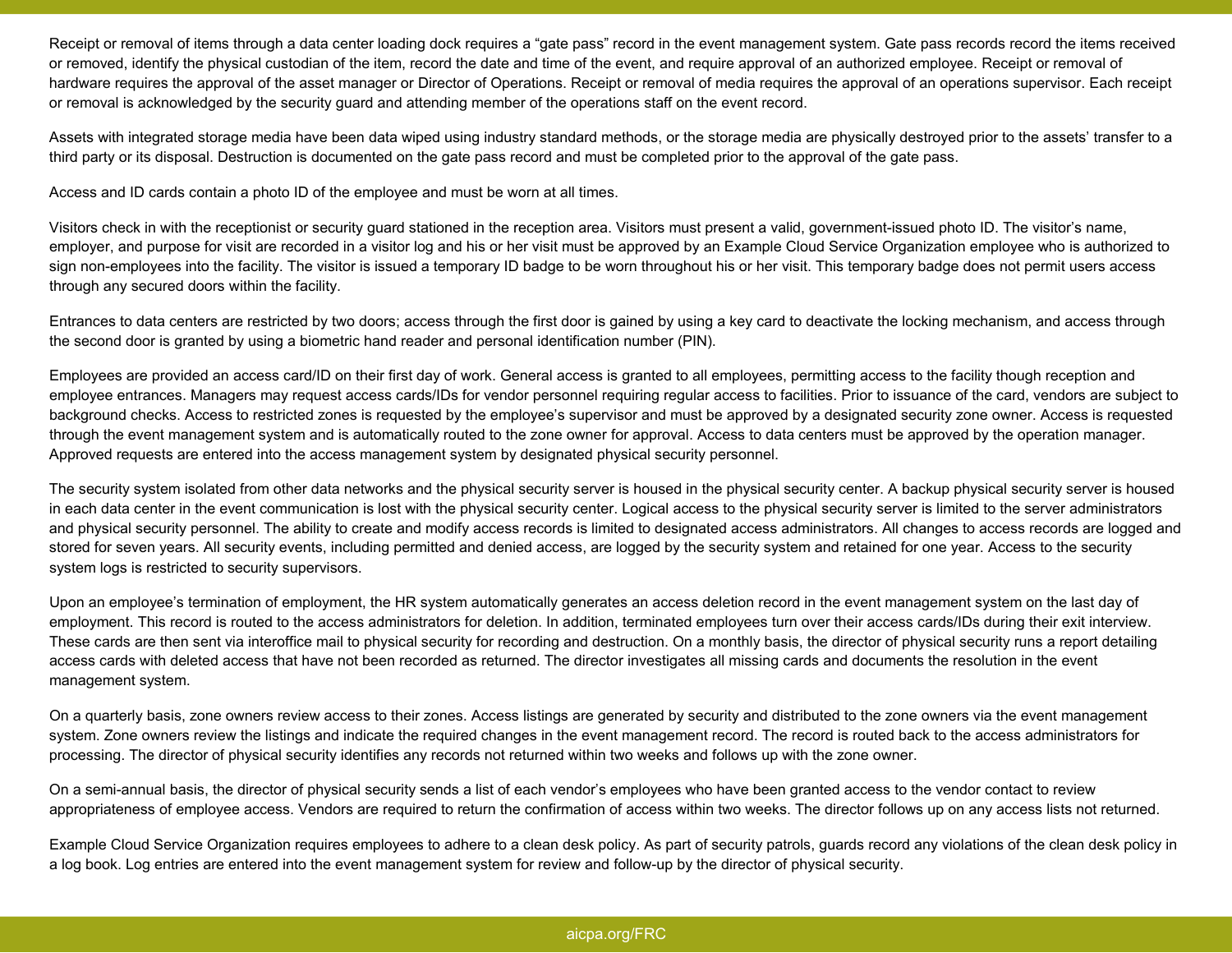Receipt or removal of items through a data center loading dock requires a "gate pass" record in the event management system. Gate pass records record the items received or removed, identify the physical custodian of the item, record the date and time of the event, and require approval of an authorized employee. Receipt or removal of hardware requires the approval of the asset manager or Director of Operations. Receipt or removal of media requires the approval of an operations supervisor. Each receipt or removal is acknowledged by the security guard and attending member of the operations staff on the event record.

Assets with integrated storage media have been data wiped using industry standard methods, or the storage media are physically destroyed prior to the assets' transfer to a third party or its disposal. Destruction is documented on the gate pass record and must be completed prior to the approval of the gate pass.

Access and ID cards contain a photo ID of the employee and must be worn at all times.

Visitors check in with the receptionist or security guard stationed in the reception area. Visitors must present a valid, government-issued photo ID. The visitor's name, employer, and purpose for visit are recorded in a visitor log and his or her visit must be approved by an Example Cloud Service Organization employee who is authorized to sign non-employees into the facility. The visitor is issued a temporary ID badge to be worn throughout his or her visit. This temporary badge does not permit users access through any secured doors within the facility.

Entrances to data centers are restricted by two doors; access through the first door is gained by using a key card to deactivate the locking mechanism, and access through the second door is granted by using a biometric hand reader and personal identification number (PIN).

Employees are provided an access card/ID on their first day of work. General access is granted to all employees, permitting access to the facility though reception and employee entrances. Managers may request access cards/IDs for vendor personnel requiring regular access to facilities. Prior to issuance of the card, vendors are subject to background checks. Access to restricted zones is requested by the employee's supervisor and must be approved by a designated security zone owner. Access is requested through the event management system and is automatically routed to the zone owner for approval. Access to data centers must be approved by the operation manager. Approved requests are entered into the access management system by designated physical security personnel.

The security system isolated from other data networks and the physical security server is housed in the physical security center. A backup physical security server is housed in each data center in the event communication is lost with the physical security center. Logical access to the physical security server is limited to the server administrators and physical security personnel. The ability to create and modify access records is limited to designated access administrators. All changes to access records are logged and stored for seven years. All security events, including permitted and denied access, are logged by the security system and retained for one year. Access to the security system logs is restricted to security supervisors.

Upon an employee's termination of employment, the HR system automatically generates an access deletion record in the event management system on the last day of employment. This record is routed to the access administrators for deletion. In addition, terminated employees turn over their access cards/IDs during their exit interview. These cards are then sent via interoffice mail to physical security for recording and destruction. On a monthly basis, the director of physical security runs a report detailing access cards with deleted access that have not been recorded as returned. The director investigates all missing cards and documents the resolution in the event management system.

On a quarterly basis, zone owners review access to their zones. Access listings are generated by security and distributed to the zone owners via the event management system. Zone owners review the listings and indicate the required changes in the event management record. The record is routed back to the access administrators for processing. The director of physical security identifies any records not returned within two weeks and follows up with the zone owner.

On a semi-annual basis, the director of physical security sends a list of each vendor's employees who have been granted access to the vendor contact to review appropriateness of employee access. Vendors are required to return the confirmation of access within two weeks. The director follows up on any access lists not returned.

Example Cloud Service Organization requires employees to adhere to a clean desk policy. As part of security patrols, guards record any violations of the clean desk policy in a log book. Log entries are entered into the event management system for review and follow-up by the director of physical security.

## aicpa.org/FRC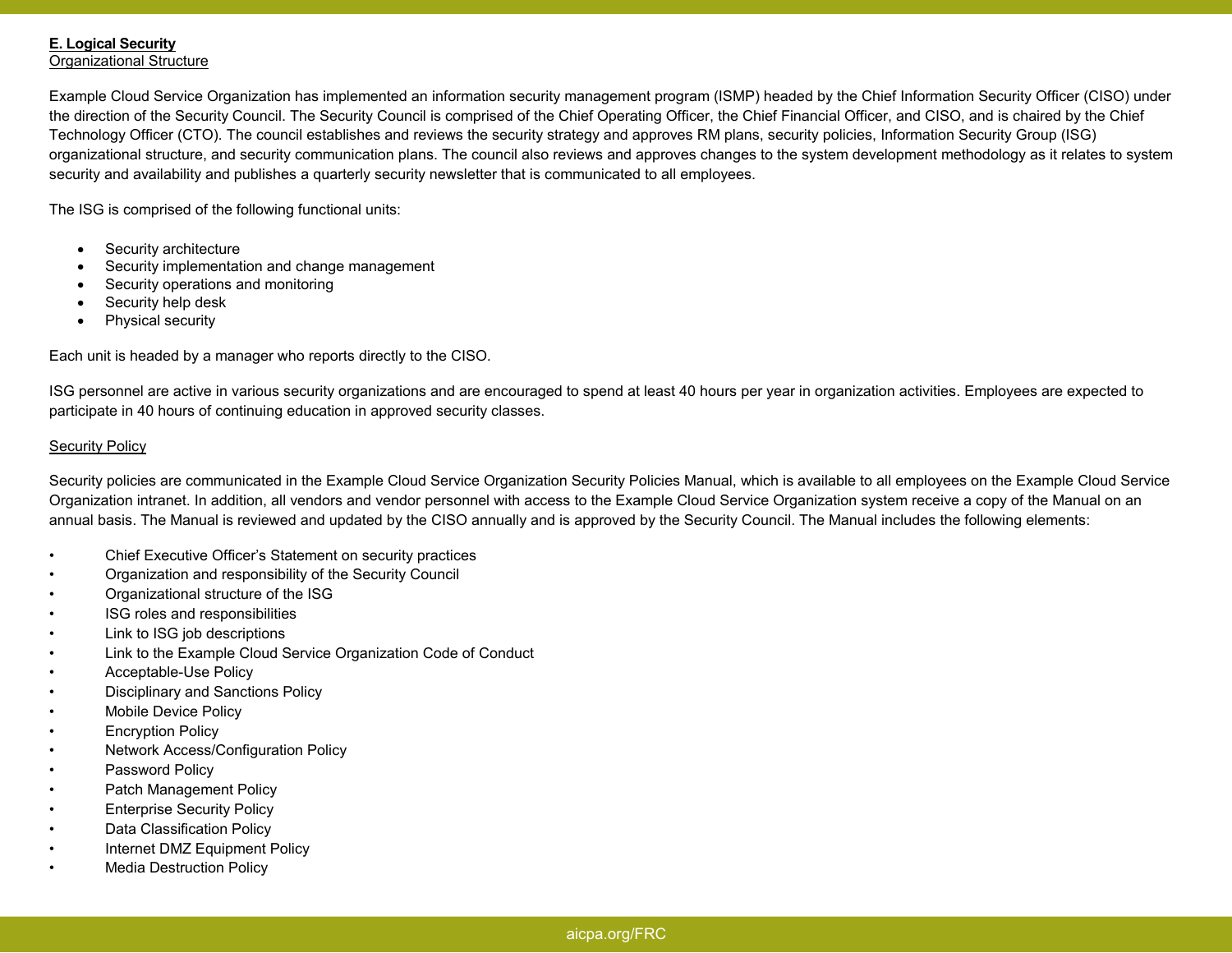# **E. Logical Security**

**Organizational Structure** 

Example Cloud Service Organization has implemented an information security management program (ISMP) headed by the Chief Information Security Officer (CISO) under the direction of the Security Council. The Security Council is comprised of the Chief Operating Officer, the Chief Financial Officer, and CISO, and is chaired by the Chief Technology Officer (CTO). The council establishes and reviews the security strategy and approves RM plans, security policies, Information Security Group (ISG) organizational structure, and security communication plans. The council also reviews and approves changes to the system development methodology as it relates to system security and availability and publishes a quarterly security newsletter that is communicated to all employees.

The ISG is comprised of the following functional units:

- Security architecture
- Security implementation and change management
- Security operations and monitoring
- Security help desk
- Physical security

Each unit is headed by a manager who reports directly to the CISO.

ISG personnel are active in various security organizations and are encouraged to spend at least 40 hours per year in organization activities. Employees are expected to participate in 40 hours of continuing education in approved security classes.

## Security Policy

Security policies are communicated in the Example Cloud Service Organization Security Policies Manual, which is available to all employees on the Example Cloud Service Organization intranet. In addition, all vendors and vendor personnel with access to the Example Cloud Service Organization system receive a copy of the Manual on an annual basis. The Manual is reviewed and updated by the CISO annually and is approved by the Security Council. The Manual includes the following elements:

- Chief Executive Officer's Statement on security practices
- Organization and responsibility of the Security Council
- Organizational structure of the ISG
- ISG roles and responsibilities
- Link to ISG job descriptions
- Link to the Example Cloud Service Organization Code of Conduct
- Acceptable-Use Policy
- Disciplinary and Sanctions Policy
- Mobile Device Policy
- **Encryption Policy**
- Network Access/Configuration Policy
- Password Policy
- Patch Management Policy
- **Enterprise Security Policy**
- Data Classification Policy
- Internet DMZ Equipment Policy
- **Media Destruction Policy**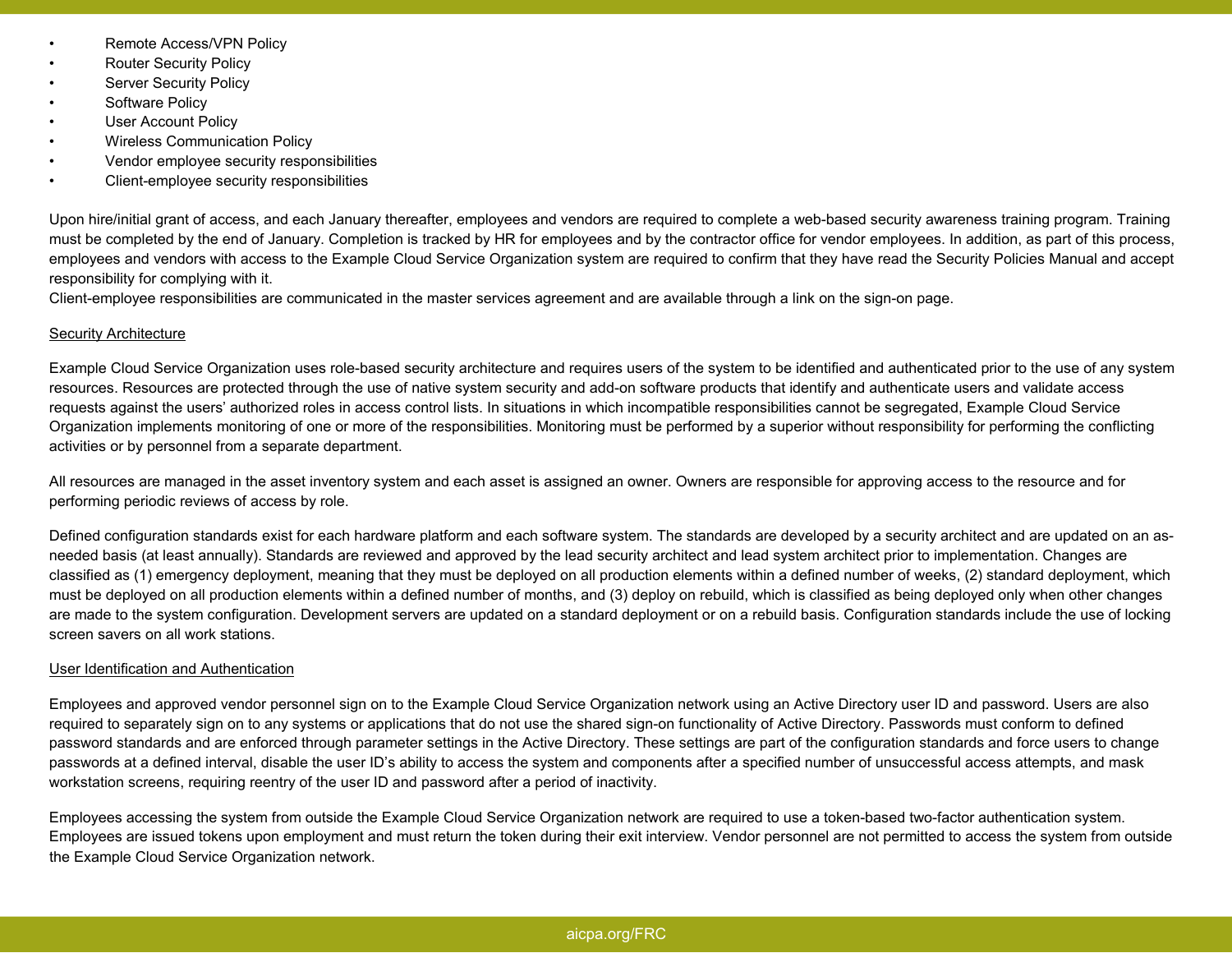- Remote Access/VPN Policy
- **Router Security Policy**
- Server Security Policy
- Software Policy
- User Account Policy
- Wireless Communication Policy
- Vendor employee security responsibilities
- Client-employee security responsibilities

Upon hire/initial grant of access, and each January thereafter, employees and vendors are required to complete a web-based security awareness training program. Training must be completed by the end of January. Completion is tracked by HR for employees and by the contractor office for vendor employees. In addition, as part of this process, employees and vendors with access to the Example Cloud Service Organization system are required to confirm that they have read the Security Policies Manual and accept responsibility for complying with it.

Client-employee responsibilities are communicated in the master services agreement and are available through a link on the sign-on page.

## Security Architecture

Example Cloud Service Organization uses role-based security architecture and requires users of the system to be identified and authenticated prior to the use of any system resources. Resources are protected through the use of native system security and add-on software products that identify and authenticate users and validate access requests against the users' authorized roles in access control lists. In situations in which incompatible responsibilities cannot be segregated, Example Cloud Service Organization implements monitoring of one or more of the responsibilities. Monitoring must be performed by a superior without responsibility for performing the conflicting activities or by personnel from a separate department.

All resources are managed in the asset inventory system and each asset is assigned an owner. Owners are responsible for approving access to the resource and for performing periodic reviews of access by role.

Defined configuration standards exist for each hardware platform and each software system. The standards are developed by a security architect and are updated on an asneeded basis (at least annually). Standards are reviewed and approved by the lead security architect and lead system architect prior to implementation. Changes are classified as (1) emergency deployment, meaning that they must be deployed on all production elements within a defined number of weeks, (2) standard deployment, which must be deployed on all production elements within a defined number of months, and (3) deploy on rebuild, which is classified as being deployed only when other changes are made to the system configuration. Development servers are updated on a standard deployment or on a rebuild basis. Configuration standards include the use of locking screen savers on all work stations.

# User Identification and Authentication

Employees and approved vendor personnel sign on to the Example Cloud Service Organization network using an Active Directory user ID and password. Users are also required to separately sign on to any systems or applications that do not use the shared sign-on functionality of Active Directory. Passwords must conform to defined password standards and are enforced through parameter settings in the Active Directory. These settings are part of the configuration standards and force users to change passwords at a defined interval, disable the user ID's ability to access the system and components after a specified number of unsuccessful access attempts, and mask workstation screens, requiring reentry of the user ID and password after a period of inactivity.

Employees accessing the system from outside the Example Cloud Service Organization network are required to use a token-based two-factor authentication system. Employees are issued tokens upon employment and must return the token during their exit interview. Vendor personnel are not permitted to access the system from outside the Example Cloud Service Organization network.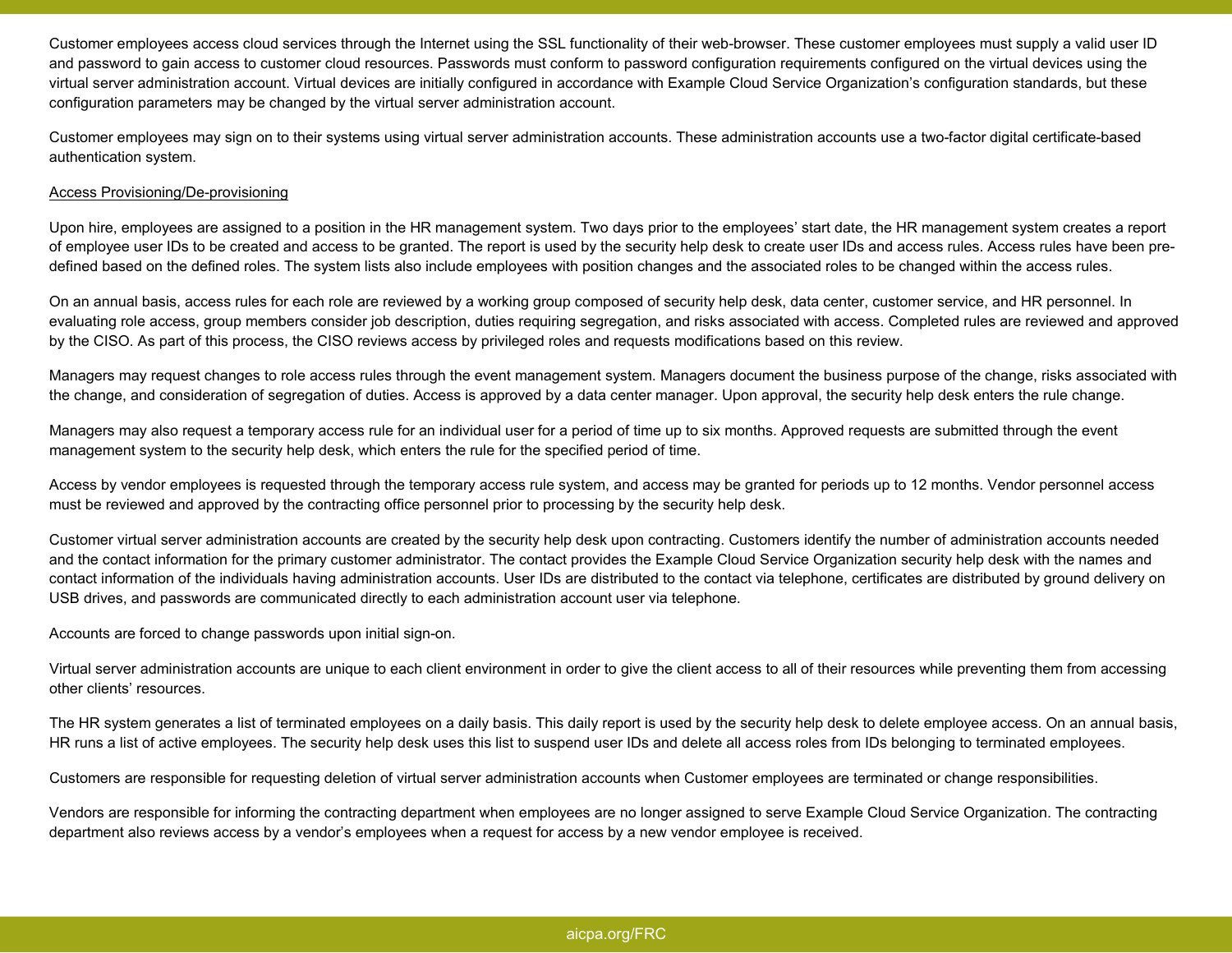Customer employees access cloud services through the Internet using the SSL functionality of their web-browser. These customer employees must supply a valid user ID and password to gain access to customer cloud resources. Passwords must conform to password configuration requirements configured on the virtual devices using the virtual server administration account. Virtual devices are initially configured in accordance with Example Cloud Service Organization's configuration standards, but these configuration parameters may be changed by the virtual server administration account.

Customer employees may sign on to their systems using virtual server administration accounts. These administration accounts use a two-factor digital certificate-based authentication system.

### Access Provisioning/De-provisioning

Upon hire, employees are assigned to a position in the HR management system. Two days prior to the employees' start date, the HR management system creates a report of employee user IDs to be created and access to be granted. The report is used by the security help desk to create user IDs and access rules. Access rules have been predefined based on the defined roles. The system lists also include employees with position changes and the associated roles to be changed within the access rules.

On an annual basis, access rules for each role are reviewed by a working group composed of security help desk, data center, customer service, and HR personnel. In evaluating role access, group members consider job description, duties requiring segregation, and risks associated with access. Completed rules are reviewed and approved by the CISO. As part of this process, the CISO reviews access by privileged roles and requests modifications based on this review.

Managers may request changes to role access rules through the event management system. Managers document the business purpose of the change, risks associated with the change, and consideration of segregation of duties. Access is approved by a data center manager. Upon approval, the security help desk enters the rule change.

Managers may also request a temporary access rule for an individual user for a period of time up to six months. Approved requests are submitted through the event management system to the security help desk, which enters the rule for the specified period of time.

Access by vendor employees is requested through the temporary access rule system, and access may be granted for periods up to 12 months. Vendor personnel access must be reviewed and approved by the contracting office personnel prior to processing by the security help desk.

Customer virtual server administration accounts are created by the security help desk upon contracting. Customers identify the number of administration accounts needed and the contact information for the primary customer administrator. The contact provides the Example Cloud Service Organization security help desk with the names and contact information of the individuals having administration accounts. User IDs are distributed to the contact via telephone, certificates are distributed by ground delivery on USB drives, and passwords are communicated directly to each administration account user via telephone.

Accounts are forced to change passwords upon initial sign-on.

Virtual server administration accounts are unique to each client environment in order to give the client access to all of their resources while preventing them from accessing other clients' resources.

The HR system generates a list of terminated employees on a daily basis. This daily report is used by the security help desk to delete employee access. On an annual basis, HR runs a list of active employees. The security help desk uses this list to suspend user IDs and delete all access roles from IDs belonging to terminated employees.

Customers are responsible for requesting deletion of virtual server administration accounts when Customer employees are terminated or change responsibilities.

Vendors are responsible for informing the contracting department when employees are no longer assigned to serve Example Cloud Service Organization. The contracting department also reviews access by a vendor's employees when a request for access by a new vendor employee is received.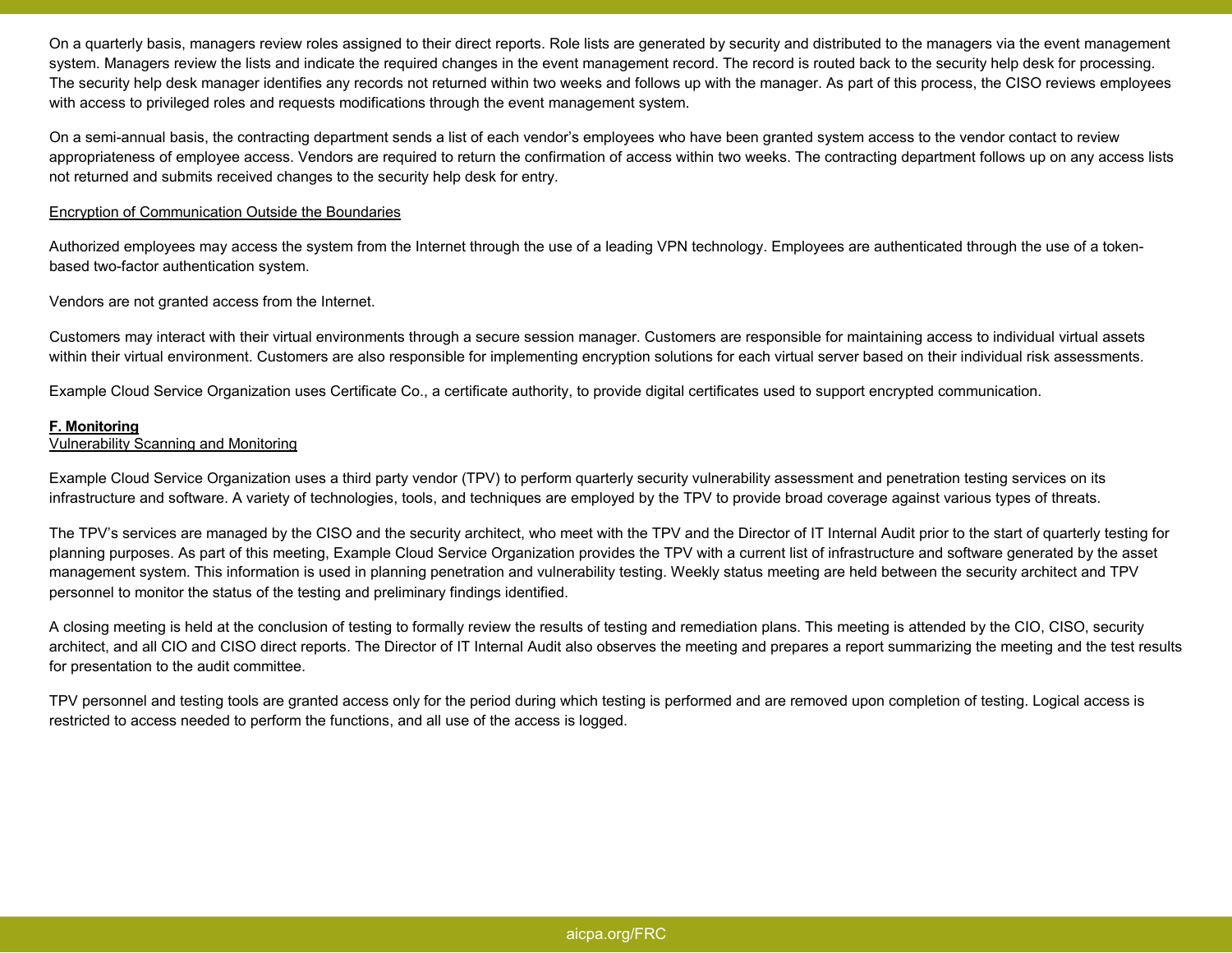On a quarterly basis, managers review roles assigned to their direct reports. Role lists are generated by security and distributed to the managers via the event management system. Managers review the lists and indicate the required changes in the event management record. The record is routed back to the security help desk for processing. The security help desk manager identifies any records not returned within two weeks and follows up with the manager. As part of this process, the CISO reviews employees with access to privileged roles and requests modifications through the event management system.

On a semi-annual basis, the contracting department sends a list of each vendor's employees who have been granted system access to the vendor contact to review appropriateness of employee access. Vendors are required to return the confirmation of access within two weeks. The contracting department follows up on any access lists not returned and submits received changes to the security help desk for entry.

## Encryption of Communication Outside the Boundaries

Authorized employees may access the system from the Internet through the use of a leading VPN technology. Employees are authenticated through the use of a tokenbased two-factor authentication system.

Vendors are not granted access from the Internet.

Customers may interact with their virtual environments through a secure session manager. Customers are responsible for maintaining access to individual virtual assets within their virtual environment. Customers are also responsible for implementing encryption solutions for each virtual server based on their individual risk assessments.

Example Cloud Service Organization uses Certificate Co., a certificate authority, to provide digital certificates used to support encrypted communication.

### **F. Monitoring**

### Vulnerability Scanning and Monitoring

Example Cloud Service Organization uses a third party vendor (TPV) to perform quarterly security vulnerability assessment and penetration testing services on its infrastructure and software. A variety of technologies, tools, and techniques are employed by the TPV to provide broad coverage against various types of threats.

The TPV's services are managed by the CISO and the security architect, who meet with the TPV and the Director of IT Internal Audit prior to the start of quarterly testing for planning purposes. As part of this meeting, Example Cloud Service Organization provides the TPV with a current list of infrastructure and software generated by the asset management system. This information is used in planning penetration and vulnerability testing. Weekly status meeting are held between the security architect and TPV personnel to monitor the status of the testing and preliminary findings identified.

A closing meeting is held at the conclusion of testing to formally review the results of testing and remediation plans. This meeting is attended by the CIO, CISO, security architect, and all CIO and CISO direct reports. The Director of IT Internal Audit also observes the meeting and prepares a report summarizing the meeting and the test results for presentation to the audit committee.

TPV personnel and testing tools are granted access only for the period during which testing is performed and are removed upon completion of testing. Logical access is restricted to access needed to perform the functions, and all use of the access is logged.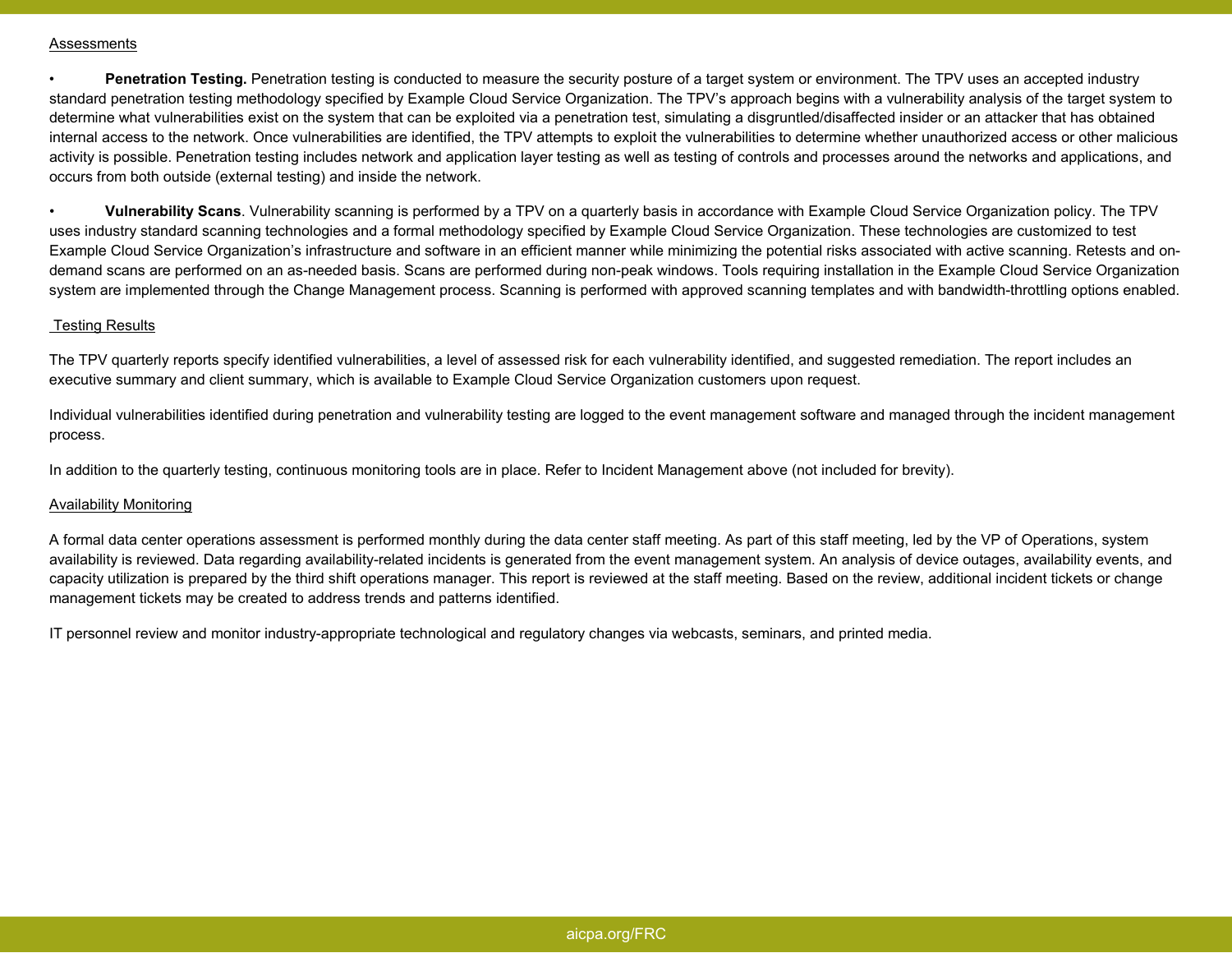#### Assessments

• **Penetration Testing.** Penetration testing is conducted to measure the security posture of a target system or environment. The TPV uses an accepted industry standard penetration testing methodology specified by Example Cloud Service Organization. The TPV's approach begins with a vulnerability analysis of the target system to determine what vulnerabilities exist on the system that can be exploited via a penetration test, simulating a disgruntled/disaffected insider or an attacker that has obtained internal access to the network. Once vulnerabilities are identified, the TPV attempts to exploit the vulnerabilities to determine whether unauthorized access or other malicious activity is possible. Penetration testing includes network and application layer testing as well as testing of controls and processes around the networks and applications, and occurs from both outside (external testing) and inside the network.

• **Vulnerability Scans**. Vulnerability scanning is performed by a TPV on a quarterly basis in accordance with Example Cloud Service Organization policy. The TPV uses industry standard scanning technologies and a formal methodology specified by Example Cloud Service Organization. These technologies are customized to test Example Cloud Service Organization's infrastructure and software in an efficient manner while minimizing the potential risks associated with active scanning. Retests and ondemand scans are performed on an as-needed basis. Scans are performed during non-peak windows. Tools requiring installation in the Example Cloud Service Organization system are implemented through the Change Management process. Scanning is performed with approved scanning templates and with bandwidth-throttling options enabled.

### Testing Results

The TPV quarterly reports specify identified vulnerabilities, a level of assessed risk for each vulnerability identified, and suggested remediation. The report includes an executive summary and client summary, which is available to Example Cloud Service Organization customers upon request.

Individual vulnerabilities identified during penetration and vulnerability testing are logged to the event management software and managed through the incident management process.

In addition to the quarterly testing, continuous monitoring tools are in place. Refer to Incident Management above (not included for brevity).

## Availability Monitoring

A formal data center operations assessment is performed monthly during the data center staff meeting. As part of this staff meeting, led by the VP of Operations, system availability is reviewed. Data regarding availability-related incidents is generated from the event management system. An analysis of device outages, availability events, and capacity utilization is prepared by the third shift operations manager. This report is reviewed at the staff meeting. Based on the review, additional incident tickets or change management tickets may be created to address trends and patterns identified.

IT personnel review and monitor industry-appropriate technological and regulatory changes via webcasts, seminars, and printed media.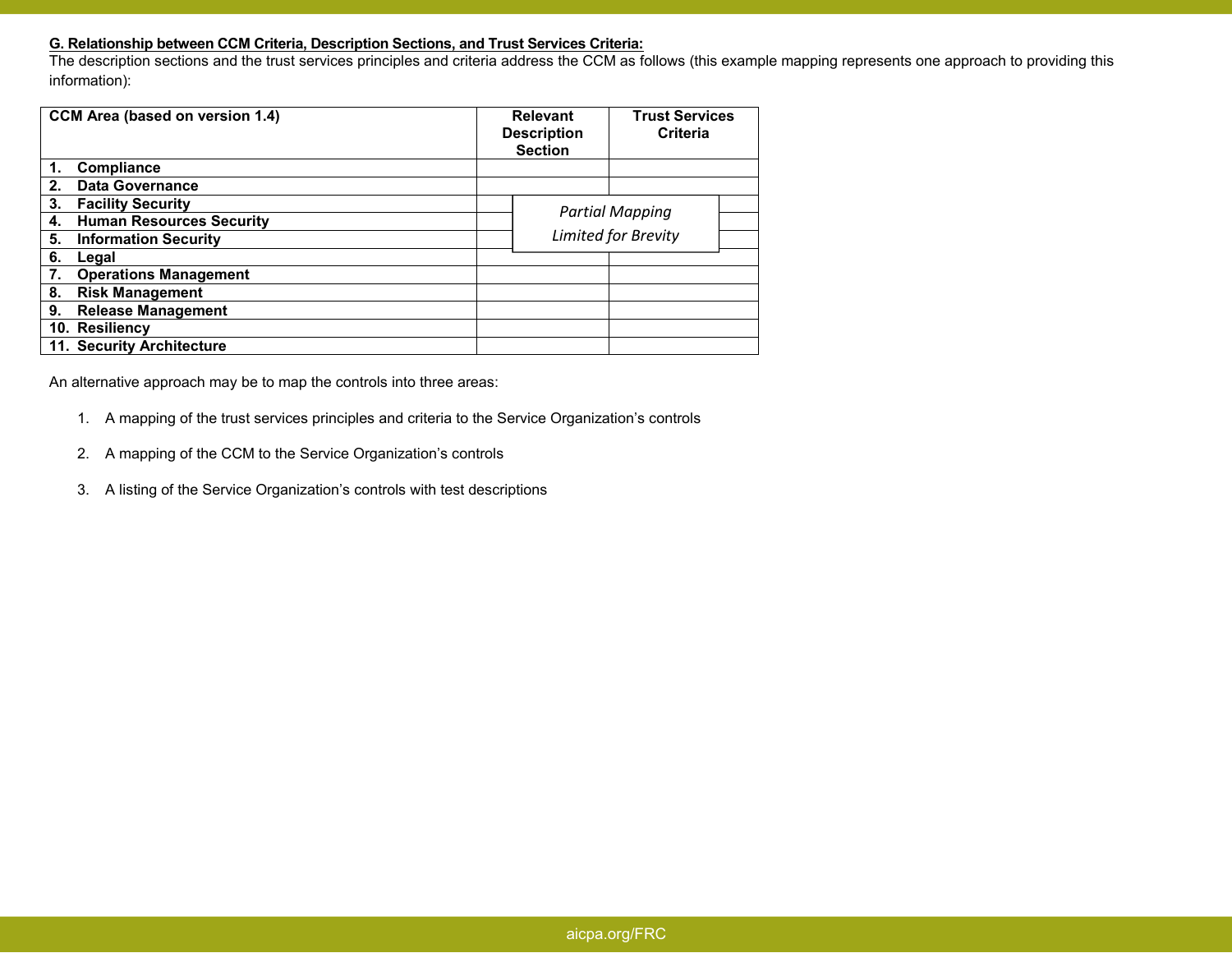# **G. Relationship between CCM Criteria, Description Sections, and Trust Services Criteria:**

 The description sections and the trust services principles and criteria address the CCM as follows (this example mapping represents one approach to providing this information):

| CCM Area (based on version 1.4)       | <b>Relevant</b><br><b>Description</b><br><b>Section</b> | <b>Trust Services</b><br><b>Criteria</b> |  |
|---------------------------------------|---------------------------------------------------------|------------------------------------------|--|
| Compliance                            |                                                         |                                          |  |
| <b>Data Governance</b><br>2.          |                                                         |                                          |  |
| 3.<br><b>Facility Security</b>        |                                                         | <b>Partial Mapping</b>                   |  |
| <b>Human Resources Security</b><br>4. |                                                         |                                          |  |
| <b>Information Security</b><br>5.     |                                                         | Limited for Brevity                      |  |
| 6.<br>Legal                           |                                                         |                                          |  |
| <b>Operations Management</b>          |                                                         |                                          |  |
| 8.<br><b>Risk Management</b>          |                                                         |                                          |  |
| 9.<br><b>Release Management</b>       |                                                         |                                          |  |
| 10. Resiliency                        |                                                         |                                          |  |
| 11. Security Architecture             |                                                         |                                          |  |

An alternative approach may be to map the controls into three areas:

- 1. A mapping of the trust services principles and criteria to the Service Organization's controls
- 2. A mapping of the CCM to the Service Organization's controls
- 3. A listing of the Service Organization's controls with test descriptions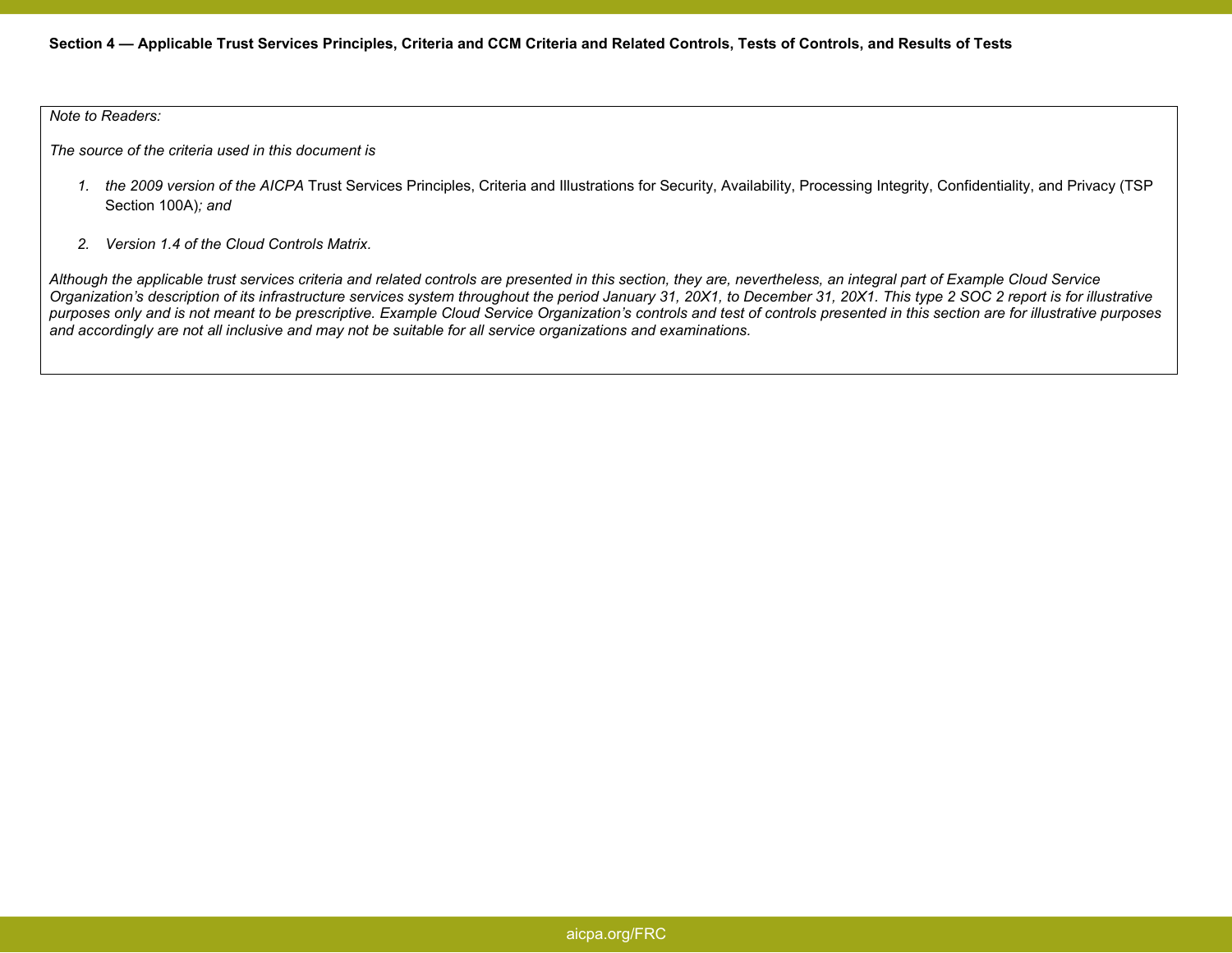### *Note to Readers:*

*The source of the criteria used in this document is*

- *1. the 2009 version of the AICPA* Trust Services Principles, Criteria and Illustrations for Security, Availability, Processing Integrity, Confidentiality, and Privacy (TSP Section 100A)*; and*
- *2. Version 1.4 of the Cloud Controls Matrix.*

*Although the applicable trust services criteria and related controls are presented in this section, they are, nevertheless, an integral part of Example Cloud Service Organization's description of its infrastructure services system throughout the period January 31, 20X1, to December 31, 20X1. This type 2 SOC 2 report is for illustrative purposes only and is not meant to be prescriptive. Example Cloud Service Organization's controls and test of controls presented in this section are for illustrative purposes and accordingly are not all inclusive and may not be suitable for all service organizations and examinations.*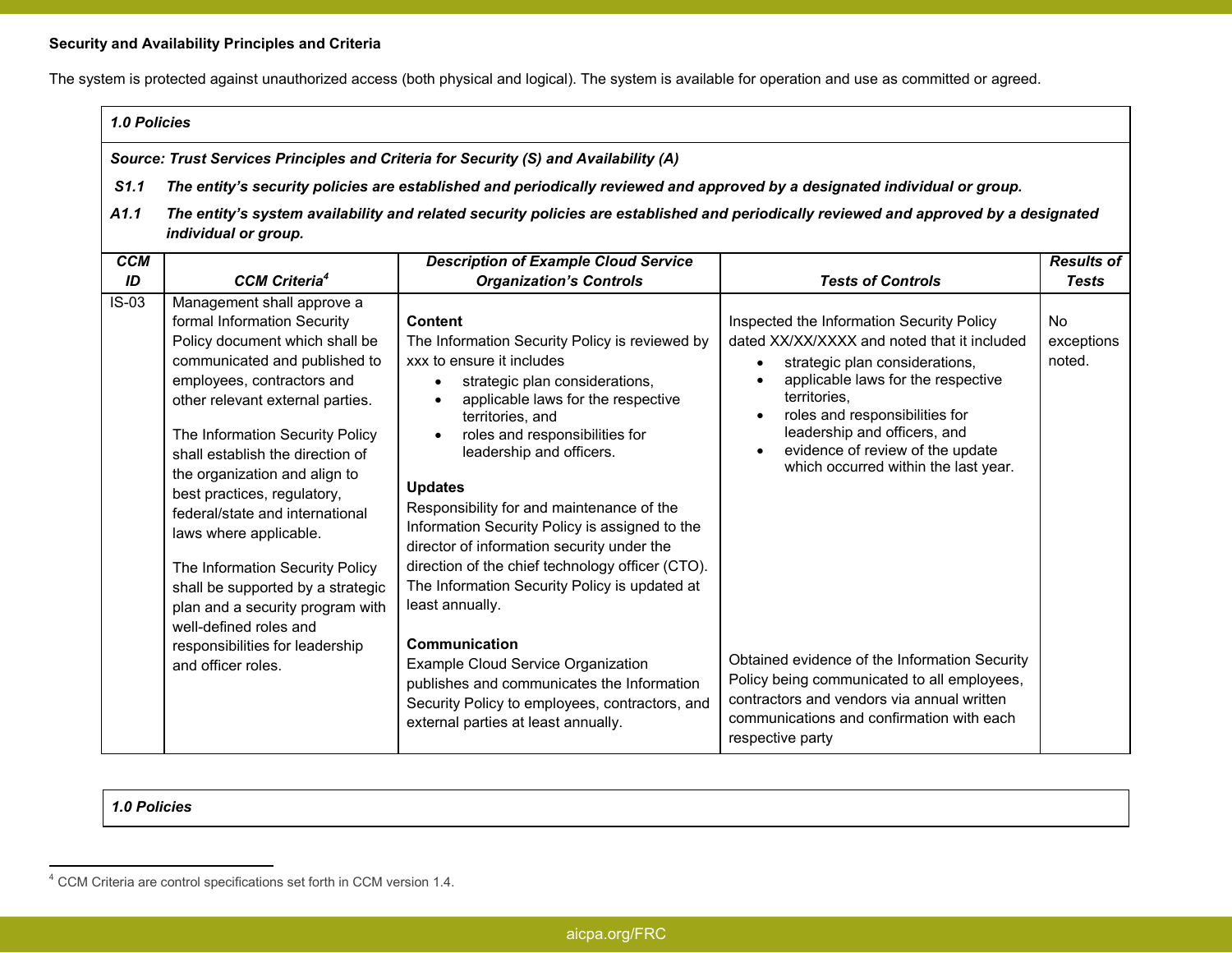# **Security and Availability Principles and Criteria**

The system is protected against unauthorized access (both physical and logical). The system is available for operation and use as committed or agreed.

# *1.0 Policies*

*Source: Trust Services Principles and Criteria for Security (S) and Availability (A)* 

- *S1.1 The entity's security policies are established and periodically reviewed and approved by a designated individual or group.*
- *A1.1 The entity's system availability and related security policies are established and periodically reviewed and approved by a designated individual or group.*

| <b>CCM</b> |                                                                                                                                                                                                                                                                                                                                                                                                                                                                                                                                                                                                   | <b>Description of Example Cloud Service</b>                                                                                                                                                                                                                                                                                                                                                                                                                                                                                                                                                                                                                                                                                                                            |                                                                                                                                                                                                                                                                                                                                                                                                                                                                                                                                                            | <b>Results of</b>                 |
|------------|---------------------------------------------------------------------------------------------------------------------------------------------------------------------------------------------------------------------------------------------------------------------------------------------------------------------------------------------------------------------------------------------------------------------------------------------------------------------------------------------------------------------------------------------------------------------------------------------------|------------------------------------------------------------------------------------------------------------------------------------------------------------------------------------------------------------------------------------------------------------------------------------------------------------------------------------------------------------------------------------------------------------------------------------------------------------------------------------------------------------------------------------------------------------------------------------------------------------------------------------------------------------------------------------------------------------------------------------------------------------------------|------------------------------------------------------------------------------------------------------------------------------------------------------------------------------------------------------------------------------------------------------------------------------------------------------------------------------------------------------------------------------------------------------------------------------------------------------------------------------------------------------------------------------------------------------------|-----------------------------------|
| ID         | <b>CCM Criteria<sup>4</sup></b>                                                                                                                                                                                                                                                                                                                                                                                                                                                                                                                                                                   | <b>Organization's Controls</b>                                                                                                                                                                                                                                                                                                                                                                                                                                                                                                                                                                                                                                                                                                                                         | <b>Tests of Controls</b>                                                                                                                                                                                                                                                                                                                                                                                                                                                                                                                                   | <b>Tests</b>                      |
| $IS-03$    | Management shall approve a<br>formal Information Security<br>Policy document which shall be<br>communicated and published to<br>employees, contractors and<br>other relevant external parties.<br>The Information Security Policy<br>shall establish the direction of<br>the organization and align to<br>best practices, regulatory,<br>federal/state and international<br>laws where applicable.<br>The Information Security Policy<br>shall be supported by a strategic<br>plan and a security program with<br>well-defined roles and<br>responsibilities for leadership<br>and officer roles. | Content<br>The Information Security Policy is reviewed by<br>xxx to ensure it includes<br>strategic plan considerations,<br>$\bullet$<br>applicable laws for the respective<br>territories, and<br>roles and responsibilities for<br>$\bullet$<br>leadership and officers.<br><b>Updates</b><br>Responsibility for and maintenance of the<br>Information Security Policy is assigned to the<br>director of information security under the<br>direction of the chief technology officer (CTO).<br>The Information Security Policy is updated at<br>least annually.<br>Communication<br><b>Example Cloud Service Organization</b><br>publishes and communicates the Information<br>Security Policy to employees, contractors, and<br>external parties at least annually. | Inspected the Information Security Policy<br>dated XX/XX/XXXX and noted that it included<br>strategic plan considerations,<br>applicable laws for the respective<br>territories.<br>roles and responsibilities for<br>leadership and officers, and<br>evidence of review of the update<br>$\bullet$<br>which occurred within the last year.<br>Obtained evidence of the Information Security<br>Policy being communicated to all employees,<br>contractors and vendors via annual written<br>communications and confirmation with each<br>respective party | <b>No</b><br>exceptions<br>noted. |

*1.0 Policies*

<sup>4</sup> CCM Criteria are control specifications set forth in CCM version 1.4.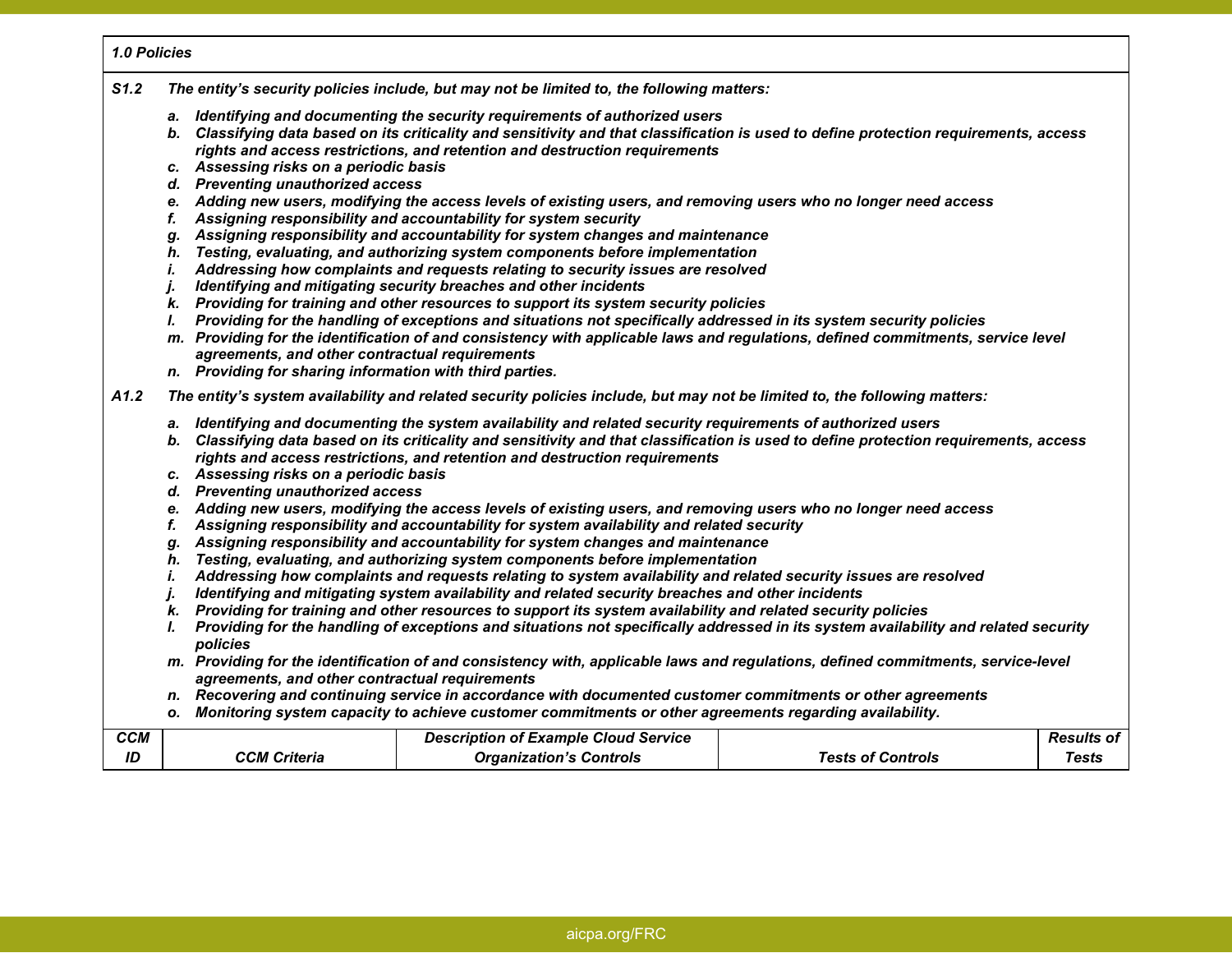#### *1.0 Policies*

- *S1.2 The entity's security policies include, but may not be limited to, the following matters:* 
	- *a. Identifying and documenting the security requirements of authorized users*
	- *b. Classifying data based on its criticality and sensitivity and that classification is used to define protection requirements, access rights and access restrictions, and retention and destruction requirements*
	- *c. Assessing risks on a periodic basis*
	- *d. Preventing unauthorized access*
	- *e. Adding new users, modifying the access levels of existing users, and removing users who no longer need access*
	- *f. Assigning responsibility and accountability for system security*
	- *g. Assigning responsibility and accountability for system changes and maintenance*
	- *h. Testing, evaluating, and authorizing system components before implementation*
	- *i. Addressing how complaints and requests relating to security issues are resolved*
	- *j. Identifying and mitigating security breaches and other incidents*
	- *k. Providing for training and other resources to support its system security policies*
	- *l. Providing for the handling of exceptions and situations not specifically addressed in its system security policies*
	- *m. Providing for the identification of and consistency with applicable laws and regulations, defined commitments, service level agreements, and other contractual requirements*
	- *n. Providing for sharing information with third parties.*

*A1.2 The entity's system availability and related security policies include, but may not be limited to, the following matters:* 

- *a. Identifying and documenting the system availability and related security requirements of authorized users*
- *b. Classifying data based on its criticality and sensitivity and that classification is used to define protection requirements, access rights and access restrictions, and retention and destruction requirements*
- *c. Assessing risks on a periodic basis*
- *d. Preventing unauthorized access*
- *e. Adding new users, modifying the access levels of existing users, and removing users who no longer need access*
- *f. Assigning responsibility and accountability for system availability and related security*
- *g. Assigning responsibility and accountability for system changes and maintenance*
- *h. Testing, evaluating, and authorizing system components before implementation*
- *i. Addressing how complaints and requests relating to system availability and related security issues are resolved*
- *j. Identifying and mitigating system availability and related security breaches and other incidents*
- *k. Providing for training and other resources to support its system availability and related security policies*
- *l. Providing for the handling of exceptions and situations not specifically addressed in its system availability and related security policies*
- *m. Providing for the identification of and consistency with, applicable laws and regulations, defined commitments, service-level agreements, and other contractual requirements*
- *n. Recovering and continuing service in accordance with documented customer commitments or other agreements*
- *o. Monitoring system capacity to achieve customer commitments or other agreements regarding availability.*

| <b>CCM</b> |              | <b>Description of Example Cloud Service</b> |                   | <b>Results of</b> |
|------------|--------------|---------------------------------------------|-------------------|-------------------|
| ID         | CCM Criteria | <b>Organization's Controls</b>              | Tests of Controls | Tests             |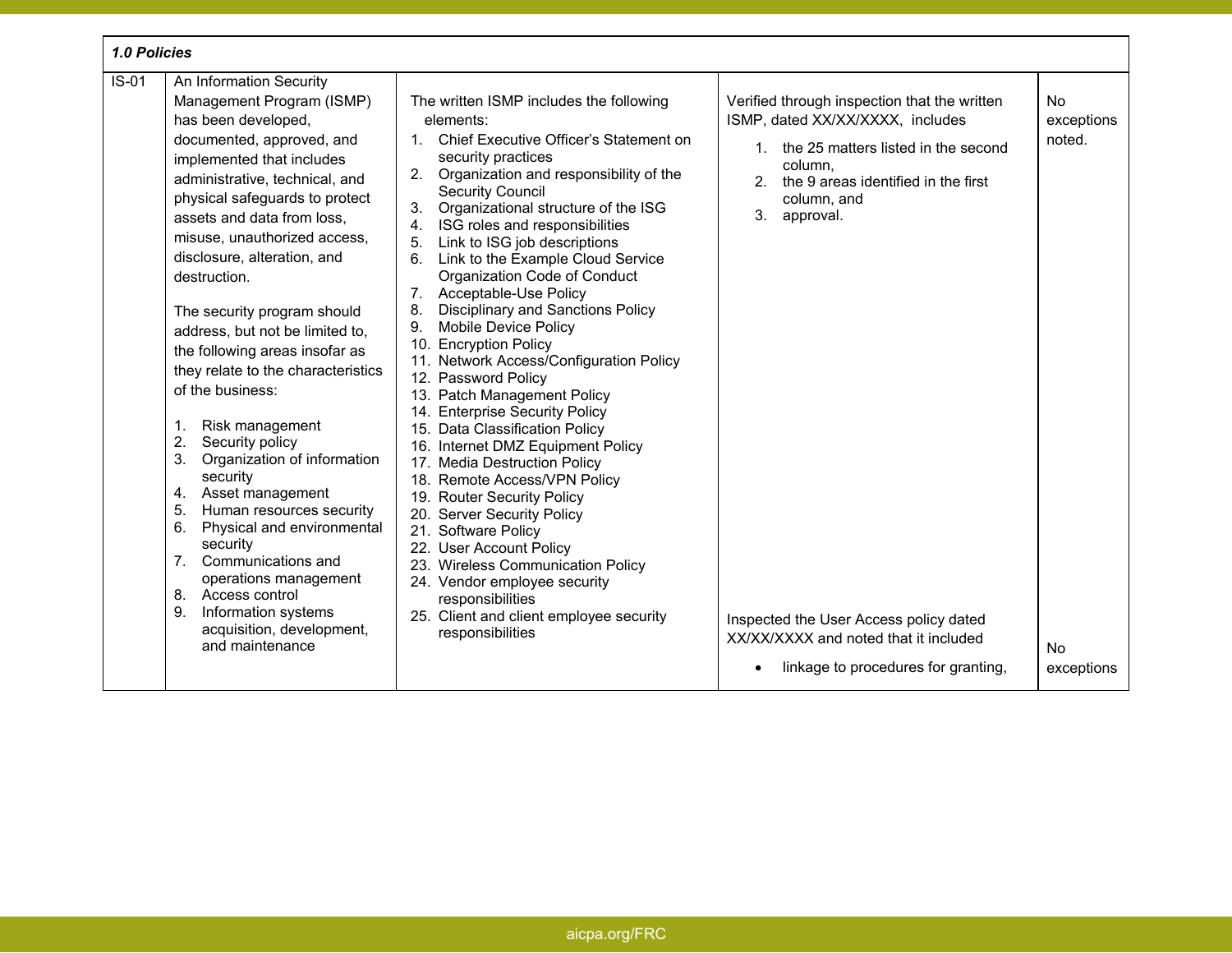| 1.0 Policies                                                                                                                                                                                                                                                                                                                                                                                                                                                                                                                                                                                                                                                                                                                                                                                                                                                       |                                                                                                                                                                                                                                                                                                                                                                                                                                                                                                                                                                                                                                                                                                                                                                                                                                                                                                                                                                                                                                                                                                  |                                                                                                                                                                                                                                                                                                                                                |                                                              |
|--------------------------------------------------------------------------------------------------------------------------------------------------------------------------------------------------------------------------------------------------------------------------------------------------------------------------------------------------------------------------------------------------------------------------------------------------------------------------------------------------------------------------------------------------------------------------------------------------------------------------------------------------------------------------------------------------------------------------------------------------------------------------------------------------------------------------------------------------------------------|--------------------------------------------------------------------------------------------------------------------------------------------------------------------------------------------------------------------------------------------------------------------------------------------------------------------------------------------------------------------------------------------------------------------------------------------------------------------------------------------------------------------------------------------------------------------------------------------------------------------------------------------------------------------------------------------------------------------------------------------------------------------------------------------------------------------------------------------------------------------------------------------------------------------------------------------------------------------------------------------------------------------------------------------------------------------------------------------------|------------------------------------------------------------------------------------------------------------------------------------------------------------------------------------------------------------------------------------------------------------------------------------------------------------------------------------------------|--------------------------------------------------------------|
| $IS-01$<br>An Information Security<br>Management Program (ISMP)<br>has been developed,<br>documented, approved, and<br>implemented that includes<br>administrative, technical, and<br>physical safeguards to protect<br>assets and data from loss,<br>misuse, unauthorized access,<br>disclosure, alteration, and<br>destruction.<br>The security program should<br>address, but not be limited to,<br>the following areas insofar as<br>they relate to the characteristics<br>of the business:<br>Risk management<br>1.<br>2.<br>Security policy<br>Organization of information<br>3.<br>security<br>Asset management<br>4.<br>5.<br>Human resources security<br>Physical and environmental<br>6.<br>security<br>7. Communications and<br>operations management<br>8. Access control<br>Information systems<br>9.<br>acquisition, development,<br>and maintenance | The written ISMP includes the following<br>elements:<br>Chief Executive Officer's Statement on<br>1.<br>security practices<br>2.<br>Organization and responsibility of the<br><b>Security Council</b><br>3.<br>Organizational structure of the ISG<br>ISG roles and responsibilities<br>4.<br>Link to ISG job descriptions<br>5.<br>Link to the Example Cloud Service<br>6.<br>Organization Code of Conduct<br>7. Acceptable-Use Policy<br><b>Disciplinary and Sanctions Policy</b><br>8.<br>Mobile Device Policy<br>9.<br>10. Encryption Policy<br>11. Network Access/Configuration Policy<br>12. Password Policy<br>13. Patch Management Policy<br>14. Enterprise Security Policy<br>15. Data Classification Policy<br>16. Internet DMZ Equipment Policy<br>17. Media Destruction Policy<br>18. Remote Access/VPN Policy<br>19. Router Security Policy<br>20. Server Security Policy<br>21. Software Policy<br>22. User Account Policy<br>23. Wireless Communication Policy<br>24. Vendor employee security<br>responsibilities<br>25. Client and client employee security<br>responsibilities | Verified through inspection that the written<br>ISMP, dated XX/XX/XXXX, includes<br>1. the 25 matters listed in the second<br>column,<br>the 9 areas identified in the first<br>2.<br>column, and<br>3.<br>approval.<br>Inspected the User Access policy dated<br>XX/XX/XXXX and noted that it included<br>linkage to procedures for granting, | <b>No</b><br>exceptions<br>noted.<br><b>No</b><br>exceptions |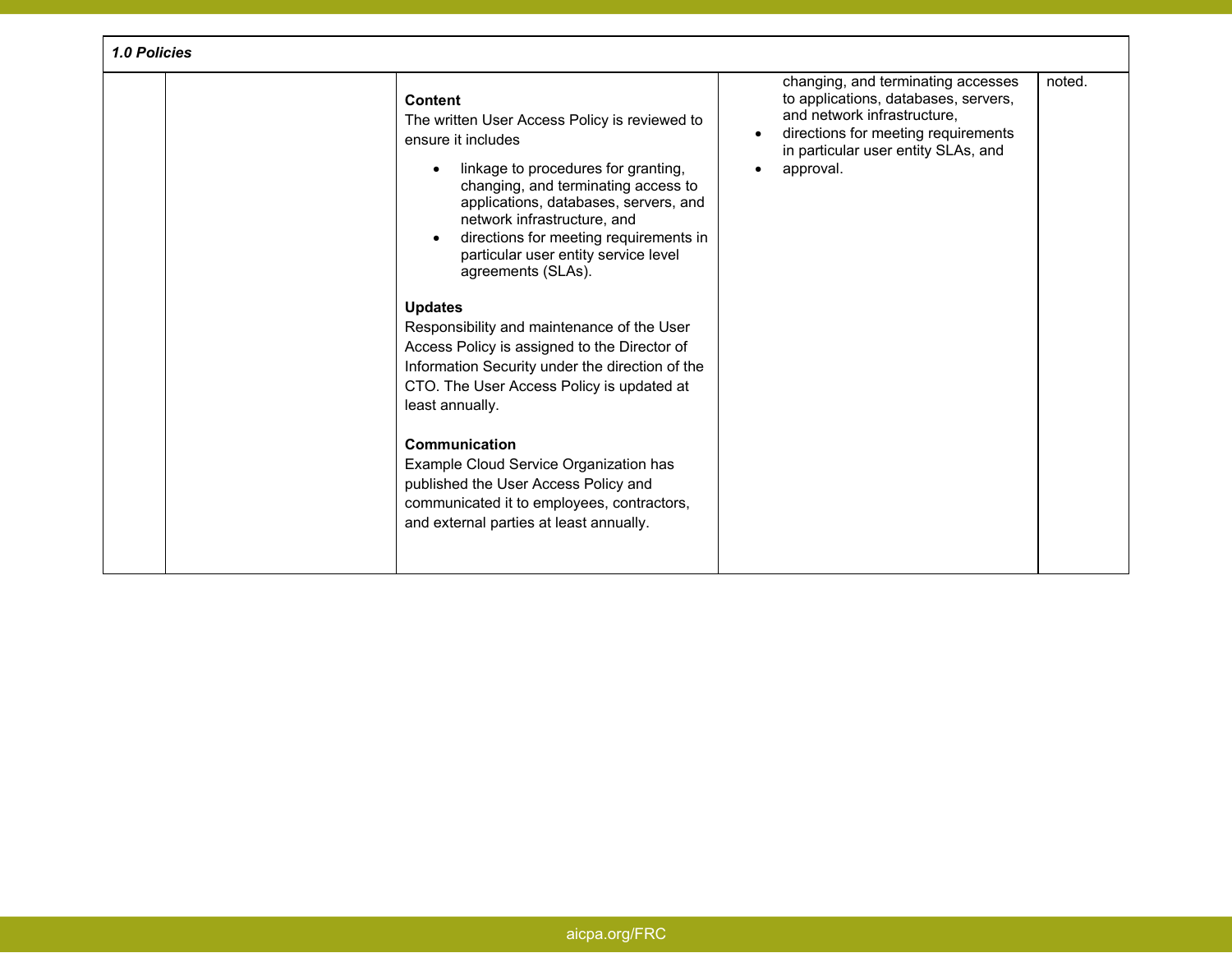| 1.0 Policies |                                                                                                                                                                                                                                                                                                                                                                                                                                                                                                                                                                                                                                                                                                                                                                                    |                                                                                                                                                                                                      |        |
|--------------|------------------------------------------------------------------------------------------------------------------------------------------------------------------------------------------------------------------------------------------------------------------------------------------------------------------------------------------------------------------------------------------------------------------------------------------------------------------------------------------------------------------------------------------------------------------------------------------------------------------------------------------------------------------------------------------------------------------------------------------------------------------------------------|------------------------------------------------------------------------------------------------------------------------------------------------------------------------------------------------------|--------|
|              | <b>Content</b><br>The written User Access Policy is reviewed to<br>ensure it includes<br>linkage to procedures for granting,<br>changing, and terminating access to<br>applications, databases, servers, and<br>network infrastructure, and<br>directions for meeting requirements in<br>particular user entity service level<br>agreements (SLAs).<br><b>Updates</b><br>Responsibility and maintenance of the User<br>Access Policy is assigned to the Director of<br>Information Security under the direction of the<br>CTO. The User Access Policy is updated at<br>least annually.<br>Communication<br>Example Cloud Service Organization has<br>published the User Access Policy and<br>communicated it to employees, contractors,<br>and external parties at least annually. | changing, and terminating accesses<br>to applications, databases, servers,<br>and network infrastructure.<br>directions for meeting requirements<br>in particular user entity SLAs, and<br>approval. | noted. |
|              |                                                                                                                                                                                                                                                                                                                                                                                                                                                                                                                                                                                                                                                                                                                                                                                    |                                                                                                                                                                                                      |        |